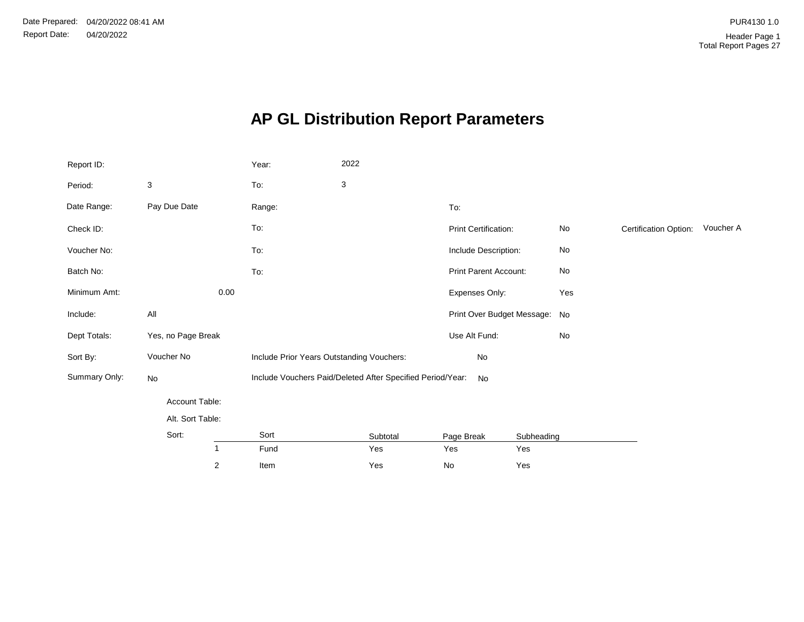# **AP GL Distribution Report Parameters**

| Report ID:    |                    | Year:                                     | 2022                                                       |                               |            |               |                       |           |
|---------------|--------------------|-------------------------------------------|------------------------------------------------------------|-------------------------------|------------|---------------|-----------------------|-----------|
| Period:       | 3                  | To:                                       | 3                                                          |                               |            |               |                       |           |
| Date Range:   | Pay Due Date       | Range:                                    |                                                            | To:                           |            |               |                       |           |
| Check ID:     |                    | To:                                       |                                                            | Print Certification:          |            | No            | Certification Option: | Voucher A |
| Voucher No:   |                    | To:                                       |                                                            | Include Description:          |            | No            |                       |           |
| Batch No:     |                    | To:                                       |                                                            | Print Parent Account:         |            | $\mathsf{No}$ |                       |           |
| Minimum Amt:  | 0.00               |                                           |                                                            | Expenses Only:                |            | Yes           |                       |           |
| Include:      | All                |                                           |                                                            | Print Over Budget Message: No |            |               |                       |           |
| Dept Totals:  | Yes, no Page Break |                                           |                                                            | Use Alt Fund:                 |            | No            |                       |           |
| Sort By:      | Voucher No         | Include Prior Years Outstanding Vouchers: |                                                            | No                            |            |               |                       |           |
| Summary Only: | No                 |                                           | Include Vouchers Paid/Deleted After Specified Period/Year: | No                            |            |               |                       |           |
|               | Account Table:     |                                           |                                                            |                               |            |               |                       |           |
|               | Alt. Sort Table:   |                                           |                                                            |                               |            |               |                       |           |
|               | Sort:              | Sort                                      | Subtotal                                                   | Page Break                    | Subheading |               |                       |           |
|               | $\mathbf{1}$       | Fund                                      | Yes                                                        | Yes                           | Yes        |               |                       |           |
|               | $\sqrt{2}$         | Item                                      | Yes                                                        | No                            | Yes        |               |                       |           |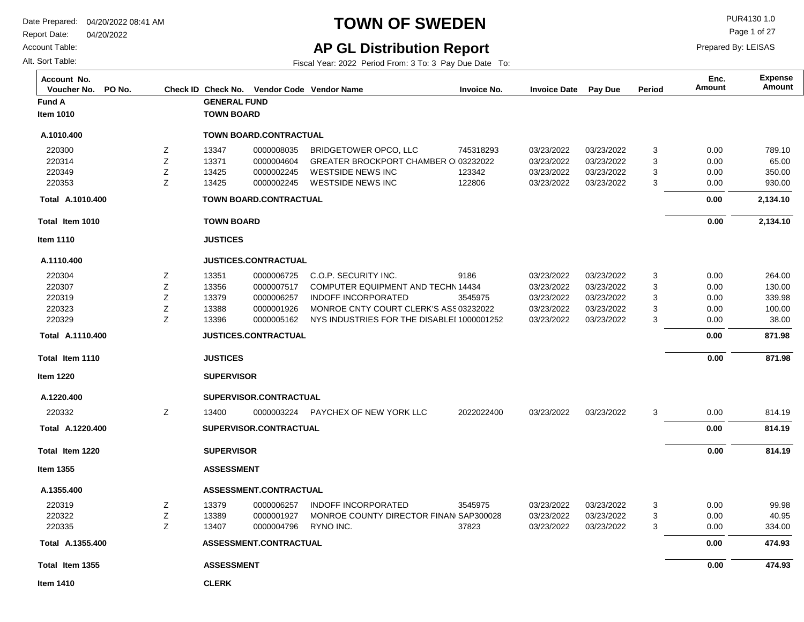Report Date: 04/20/2022

Account Table:

Alt. Sort Table:

## **TOWN OF SWEDEN** PURA130 1.0

Page 1 of 27

Prepared By: LEISAS

## **AP GL Distribution Report**

| Account No.<br>PO No.<br>Voucher No. |   |                     | Check ID Check No. Vendor Code Vendor Name |                                            | <b>Invoice No.</b> | <b>Invoice Date</b> | Pay Due    | Period | Enc.<br><b>Amount</b> | <b>Expense</b><br>Amount |
|--------------------------------------|---|---------------------|--------------------------------------------|--------------------------------------------|--------------------|---------------------|------------|--------|-----------------------|--------------------------|
| <b>Fund A</b>                        |   | <b>GENERAL FUND</b> |                                            |                                            |                    |                     |            |        |                       |                          |
| <b>Item 1010</b>                     |   | <b>TOWN BOARD</b>   |                                            |                                            |                    |                     |            |        |                       |                          |
| A.1010.400                           |   |                     | <b>TOWN BOARD.CONTRACTUAL</b>              |                                            |                    |                     |            |        |                       |                          |
| 220300                               | Ζ | 13347               | 0000008035                                 | BRIDGETOWER OPCO, LLC                      | 745318293          | 03/23/2022          | 03/23/2022 | 3      | 0.00                  | 789.10                   |
| 220314                               | Z | 13371               | 0000004604                                 | GREATER BROCKPORT CHAMBER OI03232022       |                    | 03/23/2022          | 03/23/2022 | 3      | 0.00                  | 65.00                    |
| 220349                               | Ζ | 13425               | 0000002245                                 | <b>WESTSIDE NEWS INC</b>                   | 123342             | 03/23/2022          | 03/23/2022 | 3      | 0.00                  | 350.00                   |
| 220353                               | Z | 13425               | 0000002245                                 | <b>WESTSIDE NEWS INC</b>                   | 122806             | 03/23/2022          | 03/23/2022 | 3      | 0.00                  | 930.00                   |
| Total A.1010.400                     |   |                     | <b>TOWN BOARD.CONTRACTUAL</b>              |                                            |                    |                     |            |        | 0.00                  | 2,134.10                 |
| Total Item 1010                      |   | <b>TOWN BOARD</b>   |                                            |                                            |                    |                     |            |        | 0.00                  | 2,134.10                 |
| <b>Item 1110</b>                     |   | <b>JUSTICES</b>     |                                            |                                            |                    |                     |            |        |                       |                          |
| A.1110.400                           |   |                     | <b>JUSTICES.CONTRACTUAL</b>                |                                            |                    |                     |            |        |                       |                          |
| 220304                               | Z | 13351               | 0000006725                                 | C.O.P. SECURITY INC.                       | 9186               | 03/23/2022          | 03/23/2022 | 3      | 0.00                  | 264.00                   |
| 220307                               | Z | 13356               | 0000007517                                 | COMPUTER EQUIPMENT AND TECHN 14434         |                    | 03/23/2022          | 03/23/2022 | 3      | 0.00                  | 130.00                   |
| 220319                               | Ζ | 13379               | 0000006257                                 | <b>INDOFF INCORPORATED</b>                 | 3545975            | 03/23/2022          | 03/23/2022 | 3      | 0.00                  | 339.98                   |
| 220323                               | Ζ | 13388               | 0000001926                                 | MONROE CNTY COURT CLERK'S ASS 03232022     |                    | 03/23/2022          | 03/23/2022 | 3      | 0.00                  | 100.00                   |
| 220329                               | Z | 13396               | 0000005162                                 | NYS INDUSTRIES FOR THE DISABLEI 1000001252 |                    | 03/23/2022          | 03/23/2022 | 3      | 0.00                  | 38.00                    |
| Total A.1110.400                     |   |                     | <b>JUSTICES.CONTRACTUAL</b>                |                                            |                    |                     |            |        | 0.00                  | 871.98                   |
| Total Item 1110                      |   | <b>JUSTICES</b>     |                                            |                                            |                    |                     |            |        | 0.00                  | 871.98                   |
| <b>Item 1220</b>                     |   | <b>SUPERVISOR</b>   |                                            |                                            |                    |                     |            |        |                       |                          |
| A.1220.400                           |   |                     | SUPERVISOR.CONTRACTUAL                     |                                            |                    |                     |            |        |                       |                          |
| 220332                               | Ζ | 13400               | 0000003224                                 | PAYCHEX OF NEW YORK LLC                    | 2022022400         | 03/23/2022          | 03/23/2022 | 3      | 0.00                  | 814.19                   |
| Total A.1220.400                     |   |                     | SUPERVISOR.CONTRACTUAL                     |                                            |                    |                     |            |        | 0.00                  | 814.19                   |
| Total Item 1220                      |   | <b>SUPERVISOR</b>   |                                            |                                            |                    |                     |            |        | 0.00                  | 814.19                   |
| <b>Item 1355</b>                     |   | <b>ASSESSMENT</b>   |                                            |                                            |                    |                     |            |        |                       |                          |
| A.1355.400                           |   |                     | ASSESSMENT.CONTRACTUAL                     |                                            |                    |                     |            |        |                       |                          |
| 220319                               | Z | 13379               | 0000006257                                 | <b>INDOFF INCORPORATED</b>                 | 3545975            | 03/23/2022          | 03/23/2022 | 3      | 0.00                  | 99.98                    |
| 220322                               | Ζ | 13389               | 0000001927                                 | MONROE COUNTY DIRECTOR FINAN SAP300028     |                    | 03/23/2022          | 03/23/2022 | 3      | 0.00                  | 40.95                    |
| 220335                               | Z | 13407               | 0000004796                                 | RYNO INC.                                  | 37823              | 03/23/2022          | 03/23/2022 | 3      | 0.00                  | 334.00                   |
| Total A.1355.400                     |   |                     | ASSESSMENT.CONTRACTUAL                     |                                            |                    |                     |            |        | 0.00                  | 474.93                   |
| Total Item 1355                      |   | <b>ASSESSMENT</b>   |                                            |                                            |                    |                     |            |        | 0.00                  | 474.93                   |
| <b>Item 1410</b>                     |   | <b>CLERK</b>        |                                            |                                            |                    |                     |            |        |                       |                          |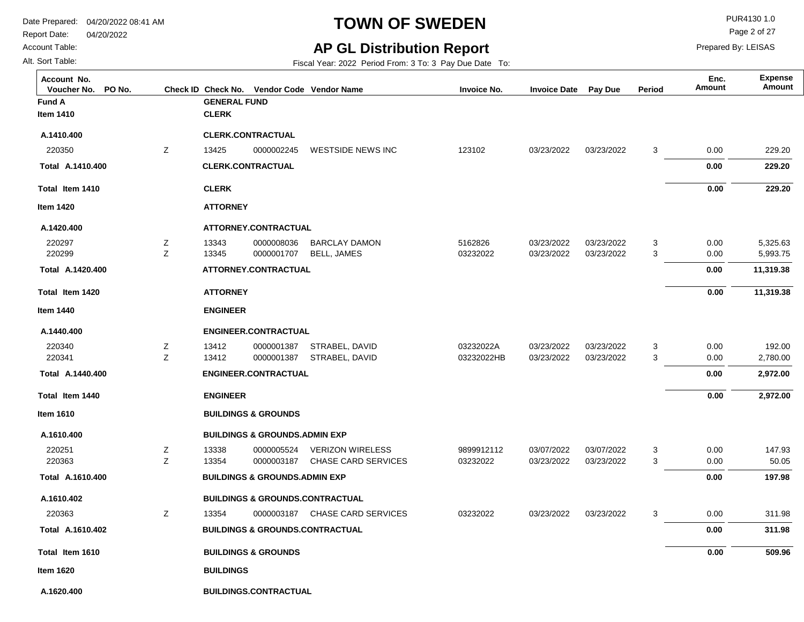**Fund A GENERAL FUND**

Report Date: 04/20/2022

**Total Item 1410**

**A.1410.400 Total** 

**Item 1420**

**A.1420.400**

220297 220299

**Total Item 1420**

**A.1420.400 Total** 

**Item 1440**

**A.1440.400**

220340 220341

**Total Item 1440**

**A.1440.400 Total** 

**Item 1610**

**A.1610.400**

220251 220363

**A.1610.402**

220363

**Total Item 1610**

**A.1610.402 Total** 

**A.1610.400 Total** 

**Item 1620**

#### Account Table:

Alt. Sort Table:

**Item 1410**

**A.1410.400**

220350

### **TOWN OF SWEDEN** PURA130 1.0

Page 2 of 27

Prepared By: LEISAS

**Amount Enc.**

#### **AP GL Distribution Report**

Fiscal Year: 2022 Period From: 3 To: 3 Pay Due Date To:

**Voucher No. PO No. Check ID Check No. Vendor Code Invoice No. Invoice Date Pay Due Period Amount Vendor NameAccount No. Expense**

|   | <b>CLERK</b>     |                                            |                            |            |            |            |   |          |           |
|---|------------------|--------------------------------------------|----------------------------|------------|------------|------------|---|----------|-----------|
|   |                  | <b>CLERK.CONTRACTUAL</b>                   |                            |            |            |            |   |          |           |
| Z | 13425            | 0000002245                                 | WESTSIDE NEWS INC          | 123102     | 03/23/2022 | 03/23/2022 | 3 | 0.00     | 229.20    |
|   |                  | <b>CLERK.CONTRACTUAL</b>                   |                            |            |            |            |   | 0.00     | 229.20    |
|   | <b>CLERK</b>     |                                            |                            |            |            |            |   | $0.00\,$ | 229.20    |
|   | <b>ATTORNEY</b>  |                                            |                            |            |            |            |   |          |           |
|   |                  | ATTORNEY.CONTRACTUAL                       |                            |            |            |            |   |          |           |
| Ζ | 13343            | 0000008036                                 | <b>BARCLAY DAMON</b>       | 5162826    | 03/23/2022 | 03/23/2022 | 3 | 0.00     | 5,325.63  |
| Z | 13345            | 0000001707                                 | <b>BELL, JAMES</b>         | 03232022   | 03/23/2022 | 03/23/2022 | 3 | 0.00     | 5,993.75  |
|   |                  | ATTORNEY.CONTRACTUAL                       |                            |            |            |            |   | 0.00     | 11,319.38 |
|   | <b>ATTORNEY</b>  |                                            |                            |            |            |            |   | 0.00     | 11,319.38 |
|   | <b>ENGINEER</b>  |                                            |                            |            |            |            |   |          |           |
|   |                  | <b>ENGINEER.CONTRACTUAL</b>                |                            |            |            |            |   |          |           |
| Z | 13412            | 0000001387                                 | STRABEL, DAVID             | 03232022A  | 03/23/2022 | 03/23/2022 | 3 | 0.00     | 192.00    |
| Z | 13412            | 0000001387                                 | STRABEL, DAVID             | 03232022HB | 03/23/2022 | 03/23/2022 | 3 | 0.00     | 2,780.00  |
|   |                  | <b>ENGINEER.CONTRACTUAL</b>                |                            |            |            |            |   | 0.00     | 2,972.00  |
|   | <b>ENGINEER</b>  |                                            |                            |            |            |            |   | $0.00\,$ | 2,972.00  |
|   |                  | <b>BUILDINGS &amp; GROUNDS</b>             |                            |            |            |            |   |          |           |
|   |                  | <b>BUILDINGS &amp; GROUNDS.ADMIN EXP</b>   |                            |            |            |            |   |          |           |
| Ζ | 13338            | 0000005524                                 | <b>VERIZON WIRELESS</b>    | 9899912112 | 03/07/2022 | 03/07/2022 | 3 | 0.00     | 147.93    |
| Z | 13354            | 0000003187                                 | <b>CHASE CARD SERVICES</b> | 03232022   | 03/23/2022 | 03/23/2022 | 3 | 0.00     | 50.05     |
|   |                  | <b>BUILDINGS &amp; GROUNDS.ADMIN EXP</b>   |                            |            |            |            |   | 0.00     | 197.98    |
|   |                  | <b>BUILDINGS &amp; GROUNDS.CONTRACTUAL</b> |                            |            |            |            |   |          |           |
| Z | 13354            | 0000003187                                 | <b>CHASE CARD SERVICES</b> | 03232022   | 03/23/2022 | 03/23/2022 | 3 | 0.00     | 311.98    |
|   |                  | <b>BUILDINGS &amp; GROUNDS.CONTRACTUAL</b> |                            |            |            |            |   | 0.00     | 311.98    |
|   |                  | <b>BUILDINGS &amp; GROUNDS</b>             |                            |            |            |            |   | 0.00     | 509.96    |
|   | <b>BUILDINGS</b> |                                            |                            |            |            |            |   |          |           |

**A.1620.400 BUILDINGS.CONTRACTUAL**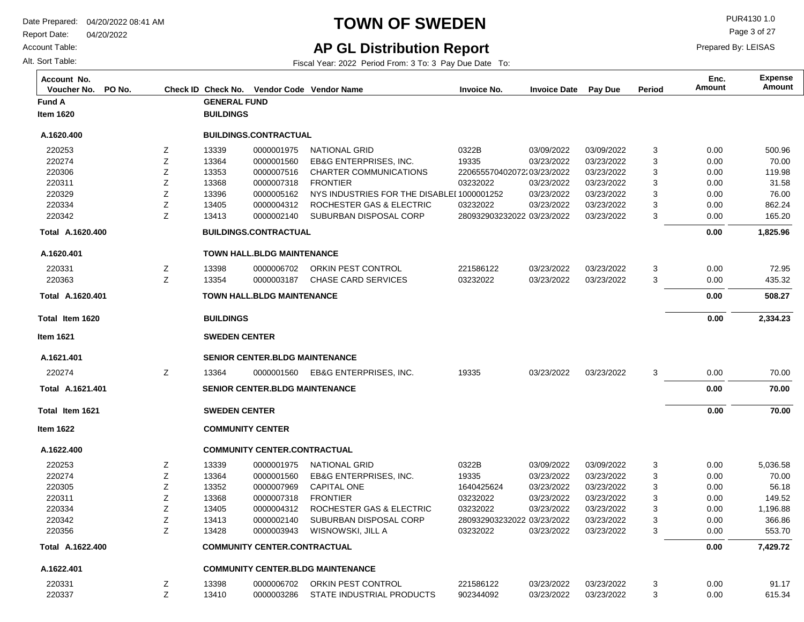Report Date: 04/20/2022

Account Table:

Alt. Sort Table:

# **TOWN OF SWEDEN** PUR4130 1.0

Page 3 of 27

Prepared By: LEISAS

## **AP GL Distribution Report**

| Account No.<br>Voucher No. | PO No. |   | Check ID Check No.      | Vendor Code Vendor Name                |                                            | <b>Invoice No.</b>         | <b>Invoice Date</b> | <b>Pay Due</b> | Period | Enc.<br><b>Amount</b> | <b>Expense</b><br>Amount |
|----------------------------|--------|---|-------------------------|----------------------------------------|--------------------------------------------|----------------------------|---------------------|----------------|--------|-----------------------|--------------------------|
| <b>Fund A</b>              |        |   | <b>GENERAL FUND</b>     |                                        |                                            |                            |                     |                |        |                       |                          |
| <b>Item 1620</b>           |        |   | <b>BUILDINGS</b>        |                                        |                                            |                            |                     |                |        |                       |                          |
| A.1620.400                 |        |   |                         | <b>BUILDINGS.CONTRACTUAL</b>           |                                            |                            |                     |                |        |                       |                          |
| 220253                     |        | Z | 13339                   | 0000001975                             | <b>NATIONAL GRID</b>                       | 0322B                      | 03/09/2022          | 03/09/2022     | 3      | 0.00                  | 500.96                   |
| 220274                     |        | Z | 13364                   | 0000001560                             | <b>EB&amp;G ENTERPRISES, INC.</b>          | 19335                      | 03/23/2022          | 03/23/2022     | 3      | 0.00                  | 70.00                    |
| 220306                     |        | Ζ | 13353                   | 0000007516                             | <b>CHARTER COMMUNICATIONS</b>              | 220655570402072:03/23/2022 |                     | 03/23/2022     | 3      | 0.00                  | 119.98                   |
| 220311                     |        | Ζ | 13368                   | 0000007318                             | <b>FRONTIER</b>                            | 03232022                   | 03/23/2022          | 03/23/2022     | 3      | 0.00                  | 31.58                    |
| 220329                     |        | Ζ | 13396                   | 0000005162                             | NYS INDUSTRIES FOR THE DISABLEI 1000001252 |                            | 03/23/2022          | 03/23/2022     | 3      | 0.00                  | 76.00                    |
| 220334                     |        | Ζ | 13405                   | 0000004312                             | ROCHESTER GAS & ELECTRIC                   | 03232022                   | 03/23/2022          | 03/23/2022     | 3      | 0.00                  | 862.24                   |
| 220342                     |        | Z | 13413                   | 0000002140                             | SUBURBAN DISPOSAL CORP                     | 280932903232022 03/23/2022 |                     | 03/23/2022     | 3      | 0.00                  | 165.20                   |
| Total A.1620.400           |        |   |                         | <b>BUILDINGS.CONTRACTUAL</b>           |                                            |                            |                     |                |        | 0.00                  | 1,825.96                 |
| A.1620.401                 |        |   |                         | <b>TOWN HALL.BLDG MAINTENANCE</b>      |                                            |                            |                     |                |        |                       |                          |
| 220331                     |        | z | 13398                   | 0000006702                             | ORKIN PEST CONTROL                         | 221586122                  | 03/23/2022          | 03/23/2022     | 3      | 0.00                  | 72.95                    |
| 220363                     |        | Z | 13354                   | 0000003187                             | <b>CHASE CARD SERVICES</b>                 | 03232022                   | 03/23/2022          | 03/23/2022     | 3      | 0.00                  | 435.32                   |
| Total A.1620.401           |        |   |                         | <b>TOWN HALL.BLDG MAINTENANCE</b>      |                                            |                            |                     |                |        | 0.00                  | 508.27                   |
| Total Item 1620            |        |   | <b>BUILDINGS</b>        |                                        |                                            |                            |                     |                |        | 0.00                  | 2,334.23                 |
| <b>Item 1621</b>           |        |   | <b>SWEDEN CENTER</b>    |                                        |                                            |                            |                     |                |        |                       |                          |
| A.1621.401                 |        |   |                         | <b>SENIOR CENTER, BLDG MAINTENANCE</b> |                                            |                            |                     |                |        |                       |                          |
| 220274                     |        | Z | 13364                   | 0000001560                             | <b>EB&amp;G ENTERPRISES, INC.</b>          | 19335                      | 03/23/2022          | 03/23/2022     | 3      | 0.00                  | 70.00                    |
| Total A.1621.401           |        |   |                         | <b>SENIOR CENTER.BLDG MAINTENANCE</b>  |                                            |                            |                     |                |        | 0.00                  | 70.00                    |
| Total Item 1621            |        |   | <b>SWEDEN CENTER</b>    |                                        |                                            |                            |                     |                |        | 0.00                  | 70.00                    |
| <b>Item 1622</b>           |        |   | <b>COMMUNITY CENTER</b> |                                        |                                            |                            |                     |                |        |                       |                          |
| A.1622.400                 |        |   |                         | <b>COMMUNITY CENTER.CONTRACTUAL</b>    |                                            |                            |                     |                |        |                       |                          |
| 220253                     |        | z | 13339                   | 0000001975                             | NATIONAL GRID                              | 0322B                      | 03/09/2022          | 03/09/2022     | 3      | 0.00                  | 5,036.58                 |
| 220274                     |        | Ζ | 13364                   | 0000001560                             | <b>EB&amp;G ENTERPRISES, INC.</b>          | 19335                      | 03/23/2022          | 03/23/2022     | 3      | 0.00                  | 70.00                    |
| 220305                     |        | Ζ | 13352                   | 0000007969                             | <b>CAPITAL ONE</b>                         | 1640425624                 | 03/23/2022          | 03/23/2022     | 3      | 0.00                  | 56.18                    |
| 220311                     |        | Ζ | 13368                   | 0000007318                             | <b>FRONTIER</b>                            | 03232022                   | 03/23/2022          | 03/23/2022     | 3      | 0.00                  | 149.52                   |
| 220334                     |        | Z | 13405                   | 0000004312                             | ROCHESTER GAS & ELECTRIC                   | 03232022                   | 03/23/2022          | 03/23/2022     | 3      | 0.00                  | 1,196.88                 |
| 220342                     |        | Z | 13413                   | 0000002140                             | SUBURBAN DISPOSAL CORP                     | 280932903232022 03/23/2022 |                     | 03/23/2022     | 3      | 0.00                  | 366.86                   |
| 220356                     |        | Z | 13428                   | 0000003943                             | WISNOWSKI, JILL A                          | 03232022                   | 03/23/2022          | 03/23/2022     | 3      | 0.00                  | 553.70                   |
| Total A.1622.400           |        |   |                         | <b>COMMUNITY CENTER.CONTRACTUAL</b>    |                                            |                            |                     |                |        | 0.00                  | 7,429.72                 |
| A.1622.401                 |        |   |                         |                                        | <b>COMMUNITY CENTER.BLDG MAINTENANCE</b>   |                            |                     |                |        |                       |                          |
| 220331                     |        | Ζ | 13398                   | 0000006702                             | ORKIN PEST CONTROL                         | 221586122                  | 03/23/2022          | 03/23/2022     | 3      | 0.00                  | 91.17                    |
| 220337                     |        | Z | 13410                   | 0000003286                             | STATE INDUSTRIAL PRODUCTS                  | 902344092                  | 03/23/2022          | 03/23/2022     | 3      | 0.00                  | 615.34                   |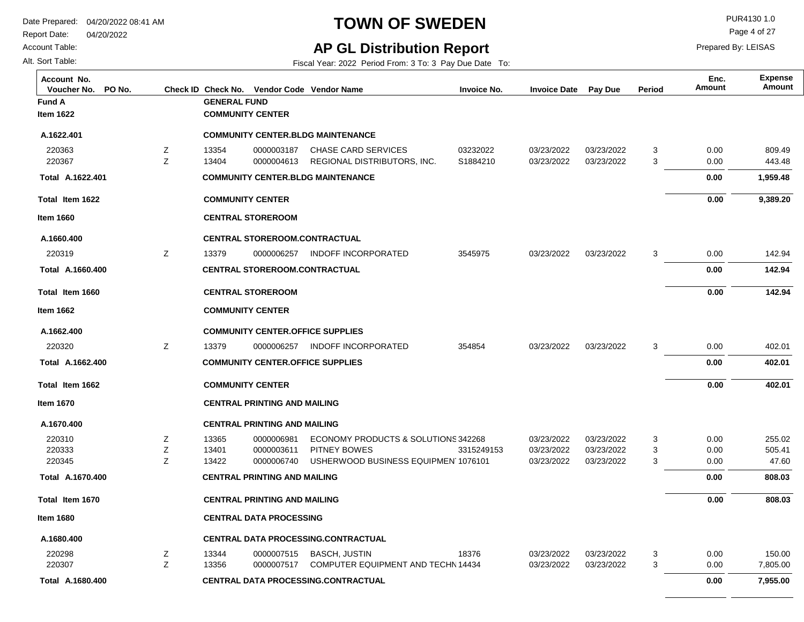**Fund A GENERAL FUND**

**COMMUNITY CENTER**

**CENTRAL DATA PROCESSING.CONTRACTUAL**

Report Date: 04/20/2022

**Total Item 1622**

**A.1622.401 Total** 

**Item 1660**

**A.1660.400**

220319

**Total Item 1660**

**A.1660.400 Total** 

**Item 1662**

**A.1662.400**

220320

**Total Item 1662**

**A.1662.400 Total** 

**Item 1670**

**A.1670.400**

220310 220333 220345

**Total Item 1670**

**A.1670.400 Total** 

**Item 1680**

**A.1680.400**

220298 220307

#### Account Table:

Alt. Sort Table:

**Item 1622**

**A.1622.401**

220363 220367

## **TOWN OF SWEDEN** PUR4130 1.0

Page 4 of 27

 **7,955.00** 

 **0.00** 

Prepared By: LEISAS

#### **AP GL Distribution Report**

Fiscal Year: 2022 Period From: 3 To: 3 Pay Due Date To:

**Voucher No. PO No. Check ID Check No. Vendor Code Invoice No. Invoice Date Pay Due Period Amount Vendor NameAccount No. Expense**

|        |                         |                                     | <b>COMMUNITY CENTER BLDG MAINTENANCE</b>                   |            |                          |                          |        |              |                    |  |  |  |
|--------|-------------------------|-------------------------------------|------------------------------------------------------------|------------|--------------------------|--------------------------|--------|--------------|--------------------|--|--|--|
| Z      | 13354                   | 0000003187                          | CHASE CARD SERVICES                                        | 03232022   | 03/23/2022               | 03/23/2022               | 3      | 0.00         | 809.49             |  |  |  |
| Z      | 13404                   | 0000004613                          | REGIONAL DISTRIBUTORS. INC.                                | S1884210   | 03/23/2022               | 03/23/2022               | 3      | 0.00         | 443.48             |  |  |  |
|        |                         |                                     | <b>COMMUNITY CENTER.BLDG MAINTENANCE</b>                   |            |                          |                          |        | 0.00         | 1,959.48           |  |  |  |
|        | <b>COMMUNITY CENTER</b> |                                     |                                                            |            |                          |                          |        | 0.00         | 9,389.20           |  |  |  |
|        |                         | <b>CENTRAL STOREROOM</b>            |                                                            |            |                          |                          |        |              |                    |  |  |  |
|        |                         |                                     | <b>CENTRAL STOREROOM.CONTRACTUAL</b>                       |            |                          |                          |        |              |                    |  |  |  |
| Z      | 13379                   | 0000006257                          | INDOFF INCORPORATED                                        | 3545975    | 03/23/2022               | 03/23/2022               | 3      | 0.00         | 142.94             |  |  |  |
|        |                         |                                     | <b>CENTRAL STOREROOM.CONTRACTUAL</b>                       |            |                          |                          |        | 0.00         | 142.94             |  |  |  |
|        |                         | <b>CENTRAL STOREROOM</b>            |                                                            |            |                          |                          |        | 0.00         | 142.94             |  |  |  |
|        | <b>COMMUNITY CENTER</b> |                                     |                                                            |            |                          |                          |        |              |                    |  |  |  |
|        |                         |                                     | <b>COMMUNITY CENTER OFFICE SUPPLIES</b>                    |            |                          |                          |        |              |                    |  |  |  |
| Z      | 13379                   | 0000006257                          | INDOFF INCORPORATED                                        | 354854     | 03/23/2022               | 03/23/2022               | 3      | 0.00         | 402.01             |  |  |  |
|        |                         |                                     | <b>COMMUNITY CENTER OFFICE SUPPLIES</b>                    |            |                          |                          |        | 0.00         | 402.01             |  |  |  |
|        | <b>COMMUNITY CENTER</b> |                                     |                                                            |            |                          |                          |        | 0.00         | 402.01             |  |  |  |
|        |                         | <b>CENTRAL PRINTING AND MAILING</b> |                                                            |            |                          |                          |        |              |                    |  |  |  |
|        |                         | <b>CENTRAL PRINTING AND MAILING</b> |                                                            |            |                          |                          |        |              |                    |  |  |  |
| Z      | 13365                   | 0000006981                          | ECONOMY PRODUCTS & SOLUTIONS 342268                        |            | 03/23/2022               | 03/23/2022               | 3      | 0.00         | 255.02             |  |  |  |
| Z      | 13401                   | 0000003611                          | PITNEY BOWES                                               | 3315249153 | 03/23/2022               | 03/23/2022               | 3      | 0.00         | 505.41             |  |  |  |
| Z      | 13422                   | 0000006740                          | USHERWOOD BUSINESS EQUIPMEN 1076101                        |            | 03/23/2022               | 03/23/2022               | 3      | 0.00         | 47.60              |  |  |  |
|        |                         | <b>CENTRAL PRINTING AND MAILING</b> |                                                            |            |                          |                          |        | 0.00         | 808.03             |  |  |  |
|        |                         | <b>CENTRAL PRINTING AND MAILING</b> |                                                            |            |                          | 0.00                     | 808.03 |              |                    |  |  |  |
|        |                         | <b>CENTRAL DATA PROCESSING</b>      |                                                            |            |                          |                          |        |              |                    |  |  |  |
|        |                         |                                     | CENTRAL DATA PROCESSING.CONTRACTUAL                        |            |                          |                          |        |              |                    |  |  |  |
| Ζ<br>Z | 13344<br>13356          | 0000007515<br>0000007517            | <b>BASCH, JUSTIN</b><br>COMPUTER EQUIPMENT AND TECHN 14434 | 18376      | 03/23/2022<br>03/23/2022 | 03/23/2022<br>03/23/2022 | 3<br>3 | 0.00<br>0.00 | 150.00<br>7,805.00 |  |  |  |

**Amount Enc.**

**A.1680.400 Total**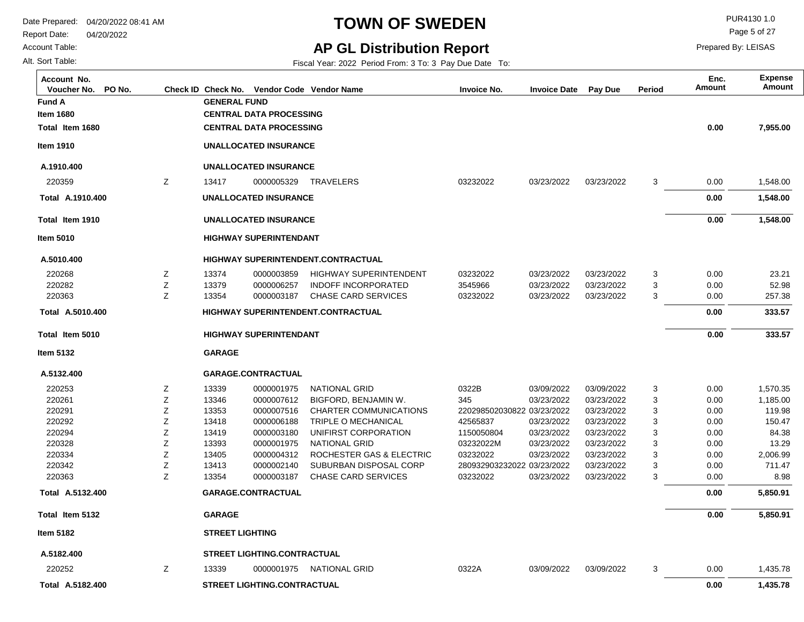#### Account Table:

Alt. Sort Table:

**Fund A** 

**Item 1680**

**Item 1910**

**A.1910.400**

220359

**Total Item 1680**

**Total Item 1910**

**A.1910.400 Total** 

**Item 5010**

**A.5010.400**

220268 220282 220363

**Total Item 5010**

**A.5010.400 Total** 

**Item 5132**

**A.5132.400**

**Total Item 5132**

**A.5132.400 Total** 

### **TOWN OF SWEDEN** PUR4130 1.0

Page 5 of 27

 **5,850.91** 

 **0.00** 

Prepared By: LEISAS

**Amount Enc.**

### **AP GL Distribution Report**

Fiscal Year: 2022 Period From: 3 To: 3 Pay Due Date To:

**Voucher No. PO No. Check ID Check No. Vendor Code Invoice No. Invoice Date Pay Due Period Amount Vendor NameAccount No. Expense**

|   | <b>GENERAL FUND</b> | <b>CENTRAL DATA PROCESSING</b><br><b>CENTRAL DATA PROCESSING</b> |                                           |                            |            |            |   | 0.00 | 7,955.00 |
|---|---------------------|------------------------------------------------------------------|-------------------------------------------|----------------------------|------------|------------|---|------|----------|
|   |                     | <b>UNALLOCATED INSURANCE</b>                                     |                                           |                            |            |            |   |      |          |
|   |                     | <b>UNALLOCATED INSURANCE</b>                                     |                                           |                            |            |            |   |      |          |
| Z | 13417               | 0000005329                                                       | <b>TRAVELERS</b>                          | 03232022                   | 03/23/2022 | 03/23/2022 | 3 | 0.00 | 1,548.00 |
|   |                     | <b>UNALLOCATED INSURANCE</b>                                     |                                           |                            |            |            |   | 0.00 | 1,548.00 |
|   |                     | <b>UNALLOCATED INSURANCE</b>                                     |                                           |                            |            |            |   | 0.00 | 1,548.00 |
|   |                     | <b>HIGHWAY SUPERINTENDANT</b>                                    |                                           |                            |            |            |   |      |          |
|   |                     |                                                                  | <b>HIGHWAY SUPERINTENDENT.CONTRACTUAL</b> |                            |            |            |   |      |          |
| Ζ | 13374               | 0000003859                                                       | <b>HIGHWAY SUPERINTENDENT</b>             | 03232022                   | 03/23/2022 | 03/23/2022 | 3 | 0.00 | 23.21    |
| Ζ | 13379               | 0000006257                                                       | <b>INDOFF INCORPORATED</b>                | 3545966                    | 03/23/2022 | 03/23/2022 | 3 | 0.00 | 52.98    |
| Z | 13354               | 0000003187                                                       | <b>CHASE CARD SERVICES</b>                | 03232022                   | 03/23/2022 | 03/23/2022 | 3 | 0.00 | 257.38   |
|   |                     |                                                                  | <b>HIGHWAY SUPERINTENDENT.CONTRACTUAL</b> |                            |            |            |   | 0.00 | 333.57   |
|   |                     | <b>HIGHWAY SUPERINTENDANT</b>                                    |                                           |                            |            |            |   | 0.00 | 333.57   |
|   | <b>GARAGE</b>       |                                                                  |                                           |                            |            |            |   |      |          |
|   |                     | <b>GARAGE.CONTRACTUAL</b>                                        |                                           |                            |            |            |   |      |          |
| Ζ | 13339               | 0000001975                                                       | <b>NATIONAL GRID</b>                      | 0322B                      | 03/09/2022 | 03/09/2022 | 3 | 0.00 | 1,570.35 |
| Ζ | 13346               | 0000007612                                                       | BIGFORD, BENJAMIN W.                      | 345                        | 03/23/2022 | 03/23/2022 | 3 | 0.00 | 1,185.00 |
| Ζ | 13353               | 0000007516                                                       | <b>CHARTER COMMUNICATIONS</b>             | 220298502030822 03/23/2022 |            | 03/23/2022 | 3 | 0.00 | 119.98   |
| Z | 13418               | 0000006188                                                       | TRIPLE O MECHANICAL                       | 42565837                   | 03/23/2022 | 03/23/2022 | 3 | 0.00 | 150.47   |
| Z | 13419               | 0000003180                                                       | UNIFIRST CORPORATION                      | 1150050804                 | 03/23/2022 | 03/23/2022 | 3 | 0.00 | 84.38    |
| Z | 13393               | 0000001975                                                       | <b>NATIONAL GRID</b>                      | 03232022M                  | 03/23/2022 | 03/23/2022 | 3 | 0.00 | 13.29    |
| Z | 13405               | 0000004312                                                       | ROCHESTER GAS & ELECTRIC                  | 03232022                   | 03/23/2022 | 03/23/2022 | 3 | 0.00 | 2,006.99 |
| Ζ | 13413               | 0000002140                                                       | SUBURBAN DISPOSAL CORP                    | 280932903232022 03/23/2022 |            | 03/23/2022 | 3 | 0.00 | 711.47   |
| Z | 13354               | 0000003187                                                       | <b>CHASE CARD SERVICES</b>                | 03232022                   | 03/23/2022 | 03/23/2022 | 3 | 0.00 | 8.98     |
|   |                     | <b>GARAGE.CONTRACTUAL</b>                                        |                                           |                            |            |            |   | 0.00 | 5,850.91 |

| <b>Item 5182</b> | <b>STREET LIGHTING</b> |
|------------------|------------------------|
|                  |                        |

**GARAGE**

**A.5182.400 Total 1,435.78**  03/09/2022 0322A 3 220252 03/09/2022 13339 Z NATIONAL GRID 0000001975 1,435.78 **STREET LIGHTING.CONTRACTUAL** 0.00  **0.00**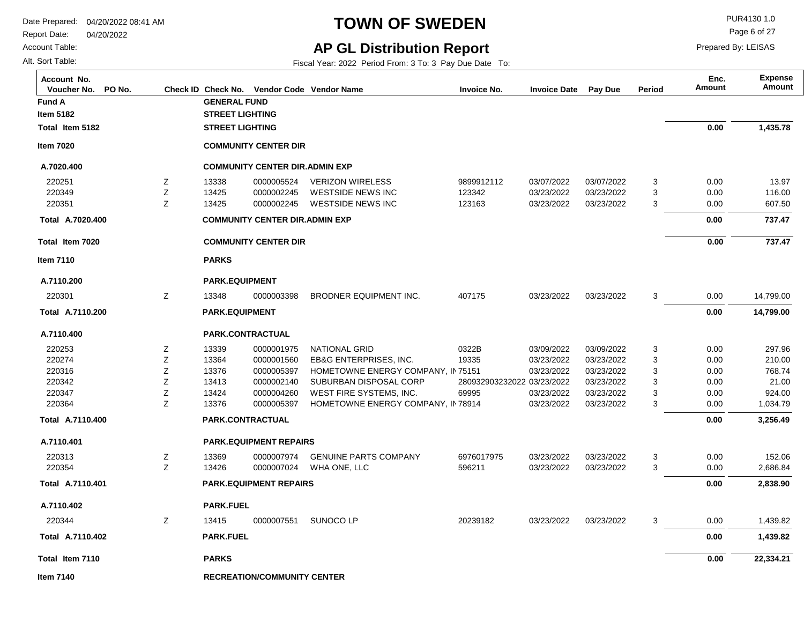Report Date: 04/20/2022

Account Table:

Alt. Sort Table:

## **TOWN OF SWEDEN** PURA130 1.0

Page 6 of 27

Prepared By: LEISAS

## **AP GL Distribution Report**

| Account No.<br>PO No.<br>Voucher No. |   |                         |                                       | Check ID Check No. Vendor Code Vendor Name | <b>Invoice No.</b>         | <b>Invoice Date</b> | Pay Due    | Period | Enc.<br>Amount | <b>Expense</b><br>Amount |
|--------------------------------------|---|-------------------------|---------------------------------------|--------------------------------------------|----------------------------|---------------------|------------|--------|----------------|--------------------------|
| Fund A                               |   | <b>GENERAL FUND</b>     |                                       |                                            |                            |                     |            |        |                |                          |
| <b>Item 5182</b>                     |   | <b>STREET LIGHTING</b>  |                                       |                                            |                            |                     |            |        |                |                          |
| Total Item 5182                      |   | <b>STREET LIGHTING</b>  |                                       |                                            |                            |                     |            |        | 0.00           | 1,435.78                 |
| <b>Item 7020</b>                     |   |                         | <b>COMMUNITY CENTER DIR</b>           |                                            |                            |                     |            |        |                |                          |
| A.7020.400                           |   |                         | <b>COMMUNITY CENTER DIR.ADMIN EXP</b> |                                            |                            |                     |            |        |                |                          |
| 220251                               | Z | 13338                   | 0000005524                            | <b>VERIZON WIRELESS</b>                    | 9899912112                 | 03/07/2022          | 03/07/2022 | 3      | 0.00           | 13.97                    |
| 220349                               | Z | 13425                   | 0000002245                            | <b>WESTSIDE NEWS INC</b>                   | 123342                     | 03/23/2022          | 03/23/2022 | 3      | 0.00           | 116.00                   |
| 220351                               | Z | 13425                   | 0000002245                            | <b>WESTSIDE NEWS INC</b>                   | 123163                     | 03/23/2022          | 03/23/2022 | 3      | 0.00           | 607.50                   |
| Total A.7020.400                     |   |                         | <b>COMMUNITY CENTER DIR.ADMIN EXP</b> |                                            |                            |                     |            |        | 0.00           | 737.47                   |
| Total Item 7020                      |   |                         | <b>COMMUNITY CENTER DIR</b>           |                                            |                            |                     |            |        | 0.00           | 737.47                   |
| <b>Item 7110</b>                     |   | <b>PARKS</b>            |                                       |                                            |                            |                     |            |        |                |                          |
| A.7110.200                           |   | <b>PARK.EQUIPMENT</b>   |                                       |                                            |                            |                     |            |        |                |                          |
| 220301                               | Ζ | 13348                   | 0000003398                            | BRODNER EQUIPMENT INC.                     | 407175                     | 03/23/2022          | 03/23/2022 | 3      | 0.00           | 14,799.00                |
| Total A.7110.200                     |   |                         | <b>PARK.EQUIPMENT</b>                 |                                            |                            |                     |            |        |                | 14,799.00                |
| A.7110.400                           |   | PARK.CONTRACTUAL        |                                       |                                            |                            |                     |            |        |                |                          |
| 220253                               | Z | 13339                   | 0000001975                            | <b>NATIONAL GRID</b>                       | 0322B                      | 03/09/2022          | 03/09/2022 | 3      | 0.00           | 297.96                   |
| 220274                               | Z | 13364                   | 0000001560                            | <b>EB&amp;G ENTERPRISES, INC.</b>          | 19335                      | 03/23/2022          | 03/23/2022 | 3      | 0.00           | 210.00                   |
| 220316                               | Z | 13376                   | 0000005397                            | HOMETOWNE ENERGY COMPANY, IN 75151         |                            | 03/23/2022          | 03/23/2022 | 3      | 0.00           | 768.74                   |
| 220342                               | Ζ | 13413                   | 0000002140                            | SUBURBAN DISPOSAL CORP                     | 280932903232022 03/23/2022 |                     | 03/23/2022 | 3      | 0.00           | 21.00                    |
| 220347                               | Z | 13424                   | 0000004260                            | WEST FIRE SYSTEMS, INC.                    | 69995                      | 03/23/2022          | 03/23/2022 | 3      | 0.00           | 924.00                   |
| 220364                               | Z | 13376                   | 0000005397                            | HOMETOWNE ENERGY COMPANY, IN 78914         |                            | 03/23/2022          | 03/23/2022 | 3      | 0.00           | 1,034.79                 |
| Total A.7110.400                     |   | <b>PARK.CONTRACTUAL</b> |                                       |                                            |                            |                     |            |        | 0.00           | 3,256.49                 |
| A.7110.401                           |   |                         | <b>PARK.EQUIPMENT REPAIRS</b>         |                                            |                            |                     |            |        |                |                          |
| 220313                               | Ζ | 13369                   | 0000007974                            | <b>GENUINE PARTS COMPANY</b>               | 6976017975                 | 03/23/2022          | 03/23/2022 | 3      | 0.00           | 152.06                   |
| 220354                               | Z | 13426                   | 0000007024                            | WHA ONE, LLC                               | 596211                     | 03/23/2022          | 03/23/2022 | 3      | 0.00           | 2,686.84                 |
| Total A.7110.401                     |   |                         | <b>PARK.EQUIPMENT REPAIRS</b>         |                                            |                            |                     |            |        | 0.00           | 2,838.90                 |
| A.7110.402                           |   | <b>PARK.FUEL</b>        |                                       |                                            |                            |                     |            |        |                |                          |
| 220344                               | Z | 13415                   | 0000007551                            | SUNOCO LP                                  | 20239182                   | 03/23/2022          | 03/23/2022 | 3      | 0.00           | 1,439.82                 |
| Total A.7110.402                     |   | <b>PARK FUEL</b>        |                                       |                                            |                            |                     |            |        | 0.00           | 1,439.82                 |
| Total Item 7110                      |   | <b>PARKS</b>            |                                       |                                            |                            |                     |            |        | 0.00           | 22,334.21                |
| Item 7140                            |   |                         | <b>RECREATION/COMMUNITY CENTER</b>    |                                            |                            |                     |            |        |                |                          |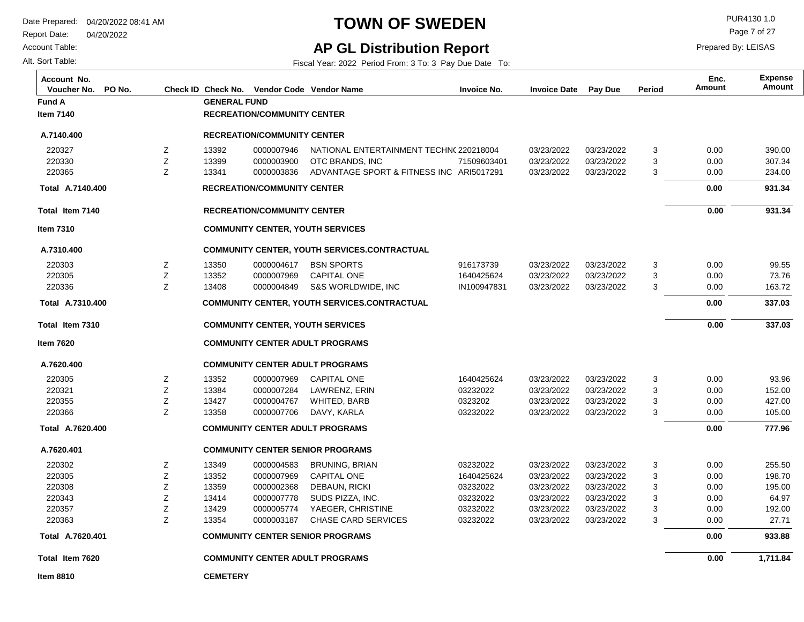Report Date: 04/20/2022

Account Table:

Alt. Sort Table:

## **TOWN OF SWEDEN** PUR4130 1.0

Page 7 of 27

Prepared By: LEISAS

#### **AP GL Distribution Report**

Fiscal Year: 2022 Period From: 3 To: 3 Pay Due Date To:

**Total Item 7140 Total Item 7310 Total Item 7620 Fund A GENERAL FUND RECREATION/COMMUNITY CENTER COMMUNITY CENTER, YOUTH SERVICES COMMUNITY CENTER ADULT PROGRAMS CEMETERY RECREATION/COMMUNITY CENTER COMMUNITY CENTER, YOUTH SERVICES COMMUNITY CENTER ADULT PROGRAMS 931.34 337.03 1,711.84 Item 7140 Item 7310 Item 7620 Item 8810 Voucher No. PO No. Check ID Check No. Vendor Code Invoice No. Invoice Date Pay Due Period Amount Vendor NameAccount No. Expense Amount Enc. A.7140.400 Total A.7310.400 Total A.7620.400 Total A.7620.401 Total 931.34 337.03 777.96 933.88 A.7140.400 A.7310.400 A.7620.400 A.7620.401** 03/23/2022 03/23/2022 03/23/2022 03/23/2022 03/23/2022 03/23/2022 03/23/2022 03/23/2022 03/23/2022 03/23/2022 03/23/2022 03/23/2022 03/23/2022 03/23/2022 03/23/2022 03/23/2022 NATIONAL ENTERTAINMENT TECHN(220218004 71509603401 ADVANTAGE SPORT & FITNESS INC ARI5017291 916173739 1640425624 IN100947831 1640425624 03232022 0323202 03232022 03232022 1640425624 03232022 03232022 03232022 03232022 3 3 3 3 3 3 3 3 3 3 3 3 3 3 3 3 220327 220330 220365 220303 220305 220336 220305 220321 220355 220366 220302 220305 220308 220343 220357 220363 03/23/2022 03/23/2022 03/23/2022 03/23/2022 03/23/2022 03/23/2022 03/23/2022 03/23/2022 03/23/2022 03/23/2022 03/23/2022 03/23/2022 03/23/2022 03/23/2022 03/23/2022 03/23/2022 13392 13399 13341 13350 13352 13408 13352 13384 13427 13358 13349 13352 13359 13414 13429 13354 Z Z Z Z Z Z Z Z Z Z Z Z Z Z Z Z OTC BRANDS, INC BSN SPORTS CAPITAL ONE S&S WORLDWIDE, INC CAPITAL ONE LAWRENZ, ERIN WHITED, BARB DAVY, KARLA BRUNING, BRIAN CAPITAL ONE DEBAUN, RICKI SUDS PIZZA, INC. YAEGER, CHRISTINE CHASE CARD SERVICES 0000007946 0000003900 0000003836 0000004617 0000007969 0000004849 0000007969 0000007284 0000004767 0000007706 0000004583 0000007969 0000002368 0000007778 0000005774 0000003187 390.00 307.34 234.00 99.55 73.76 163.72 93.96 152.00 427.00 105.00 255.50 198.70 195.00 64.97 192.00 27.71 **RECREATION/COMMUNITY CENTER COMMUNITY CENTER, YOUTH SERVICES.CONTRACTUAL COMMUNITY CENTER ADULT PROGRAMS COMMUNITY CENTER SENIOR PROGRAMS RECREATION/COMMUNITY CENTER COMMUNITY CENTER, YOUTH SERVICES.CONTRACTUAL COMMUNITY CENTER ADULT PROGRAMS COMMUNITY CENTER SENIOR PROGRAMS** 0.00 0.00 0.00 0.00 0.00 0.00 0.00 0.00 0.00 0.00 0.00 0.00 0.00 0.00 0.00 0.00  **0.00 0.00 0.00 0.00 0.00 0.00 0.00**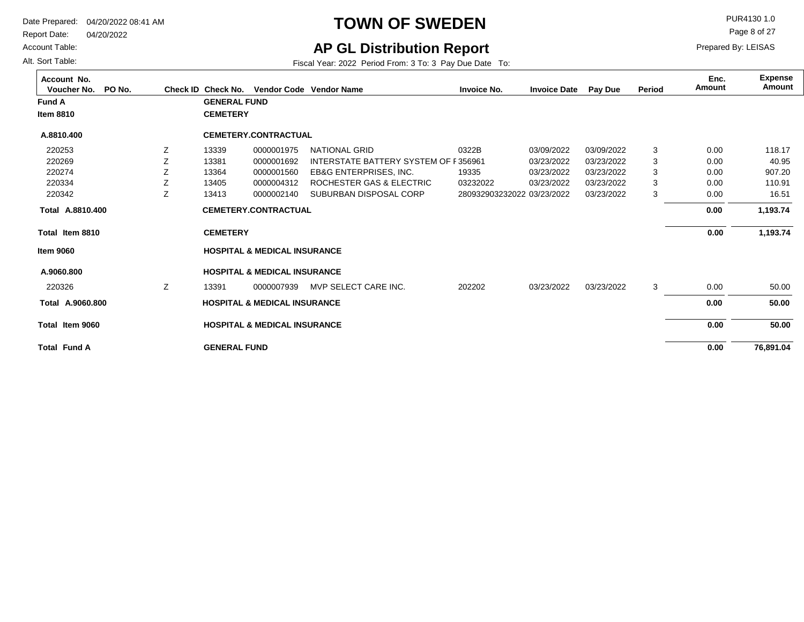Report Date: 04/20/2022

Account Table:

Alt. Sort Table:

## **TOWN OF SWEDEN** PURA130 1.0

Page 8 of 27

Prepared By: LEISAS

### **AP GL Distribution Report**

Fiscal Year: 2022 Period From: 3 To: 3 Pay Due Date To:

**Total Item 8810 Total Item 9060 Total Fund A Fund A GENERAL FUND CEMETERY HOSPITAL & MEDICAL INSURANCE GENERAL FUND CEMETERY HOSPITAL & MEDICAL INSURANCE 76,891.04 1,193.74 50.00 Item 8810 Item 9060 Voucher No. PO No. Check ID Check No. Vendor Code Invoice No. Invoice Date Pay Due Period Amount Vendor NameAccount No. Expense Amount Enc. A.8810.400 Total A.9060.800 Total 1,193.74 50.00 A.8810.400 A.9060.800** 03/09/2022 03/23/2022 03/23/2022 03/23/2022 03/23/2022 280932903232022 03/23/2022 0322B INTERSTATE BATTERY SYSTEM OF F356961 19335 03232022 202202 3 3 3 3 3 3 220253 220269 220274 220334 220342 220326 03/09/2022 03/23/2022 03/23/2022 03/23/2022 03/23/2022 03/23/2022 13339 13381 13364 13405 13413 13391 Z Z Z Z Z Z NATIONAL GRID EB&G ENTERPRISES, INC. ROCHESTER GAS & ELECTRIC SUBURBAN DISPOSAL CORP 0000007939 MVP SELECT CARE INC. 0000001975 0000001692 0000001560 0000004312 0000002140 118.17 40.95 907.20 110.91 16.51 50.00 **CEMETERY.CONTRACTUAL HOSPITAL & MEDICAL INSURANCE CEMETERY.CONTRACTUAL HOSPITAL & MEDICAL INSURANCE** 0.00 0.00 0.00 0.00 0.00 0.00  **0.00 0.00 0.00 0.00 0.00**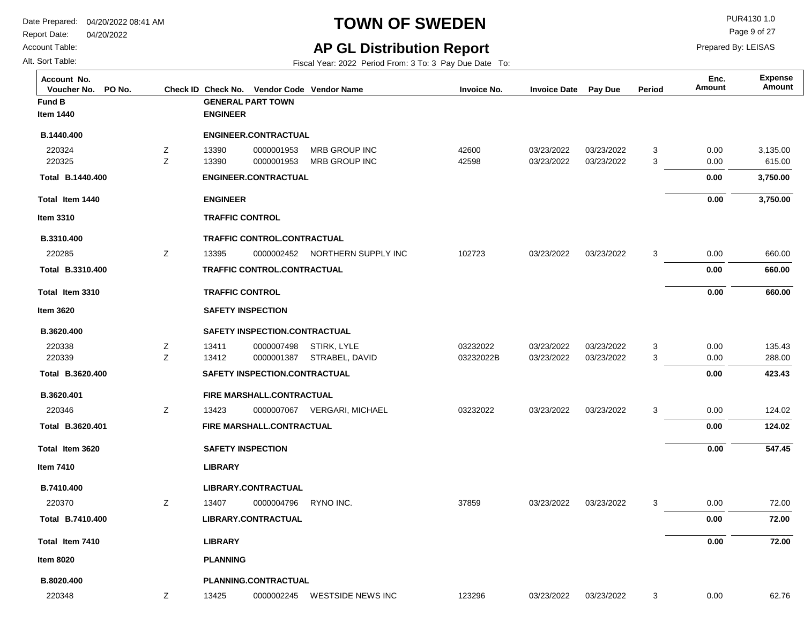Account Table:

Alt. Sort Table:

# **TOWN OF SWEDEN** PUR4130 1.0

Page 9 of 27

## **AP GL Distribution Report**

Fiscal Year: 2022 Period From: 3 To: 3 Pay Due Date To:

| Account No.<br>PO No.<br>Voucher No. |   |                        | Check ID Check No. Vendor Code Vendor Name |                                | <b>Invoice No.</b> | <b>Invoice Date</b> | Pay Due    | Period | Enc.<br>Amount | <b>Expense</b><br>Amount |
|--------------------------------------|---|------------------------|--------------------------------------------|--------------------------------|--------------------|---------------------|------------|--------|----------------|--------------------------|
| Fund B                               |   |                        | <b>GENERAL PART TOWN</b>                   |                                |                    |                     |            |        |                |                          |
| Item 1440                            |   | <b>ENGINEER</b>        |                                            |                                |                    |                     |            |        |                |                          |
| B.1440.400                           |   |                        | <b>ENGINEER.CONTRACTUAL</b>                |                                |                    |                     |            |        |                |                          |
| 220324                               | z | 13390                  | 0000001953                                 | MRB GROUP INC                  | 42600              | 03/23/2022          | 03/23/2022 | 3      | 0.00           | 3,135.00                 |
| 220325                               | Z | 13390                  | 0000001953                                 | MRB GROUP INC                  | 42598              | 03/23/2022          | 03/23/2022 | 3      | 0.00           | 615.00                   |
| Total B.1440.400                     |   |                        | <b>ENGINEER.CONTRACTUAL</b>                |                                |                    |                     |            |        | 0.00           | 3,750.00                 |
| Total Item 1440                      |   | <b>ENGINEER</b>        |                                            |                                |                    |                     |            |        | 0.00           | 3,750.00                 |
| Item 3310                            |   | <b>TRAFFIC CONTROL</b> |                                            |                                |                    |                     |            |        |                |                          |
| B.3310.400                           |   |                        | TRAFFIC CONTROL.CONTRACTUAL                |                                |                    |                     |            |        |                |                          |
| 220285                               | Ζ | 13395                  |                                            | 0000002452 NORTHERN SUPPLY INC | 102723             | 03/23/2022          | 03/23/2022 | 3      | 0.00           | 660.00                   |
| Total B.3310.400                     |   |                        | <b>TRAFFIC CONTROL.CONTRACTUAL</b>         |                                |                    |                     |            |        | 0.00           | 660.00                   |
| Total Item 3310                      |   | <b>TRAFFIC CONTROL</b> |                                            |                                |                    |                     |            |        | 0.00           | 660.00                   |
| <b>Item 3620</b>                     |   |                        | <b>SAFETY INSPECTION</b>                   |                                |                    |                     |            |        |                |                          |
| B.3620.400                           |   |                        | SAFETY INSPECTION.CONTRACTUAL              |                                |                    |                     |            |        |                |                          |
| 220338                               | Z | 13411                  | 0000007498                                 | STIRK, LYLE                    | 03232022           | 03/23/2022          | 03/23/2022 | 3      | 0.00           | 135.43                   |
| 220339                               | Z | 13412                  | 0000001387                                 | STRABEL, DAVID                 | 03232022B          | 03/23/2022          | 03/23/2022 | 3      | 0.00           | 288.00                   |
| Total B.3620.400                     |   |                        | SAFETY INSPECTION.CONTRACTUAL              |                                |                    |                     |            |        | 0.00           | 423.43                   |
| B.3620.401                           |   |                        | FIRE MARSHALL.CONTRACTUAL                  |                                |                    |                     |            |        |                |                          |
| 220346                               | z | 13423                  |                                            | 0000007067 VERGARI, MICHAEL    | 03232022           | 03/23/2022          | 03/23/2022 | 3      | 0.00           | 124.02                   |
| Total B.3620.401                     |   |                        | FIRE MARSHALL.CONTRACTUAL                  |                                |                    |                     |            |        | 0.00           | 124.02                   |
| Total Item 3620                      |   |                        | <b>SAFETY INSPECTION</b>                   |                                |                    |                     |            |        | 0.00           | 547.45                   |
| Item 7410                            |   | <b>LIBRARY</b>         |                                            |                                |                    |                     |            |        |                |                          |
| B.7410.400                           |   |                        | LIBRARY.CONTRACTUAL                        |                                |                    |                     |            |        |                |                          |
| 220370                               | Ζ | 13407                  | 0000004796                                 | RYNO INC.                      | 37859              | 03/23/2022          | 03/23/2022 | 3      | 0.00           | 72.00                    |
| Total B.7410.400                     |   |                        | LIBRARY.CONTRACTUAL                        |                                |                    |                     |            |        | 0.00           | 72.00                    |
| Total Item 7410                      |   | <b>LIBRARY</b>         |                                            |                                |                    |                     |            |        | 0.00           | 72.00                    |
| <b>Item 8020</b>                     |   | <b>PLANNING</b>        |                                            |                                |                    |                     |            |        |                |                          |
| B.8020.400                           |   |                        | PLANNING.CONTRACTUAL                       |                                |                    |                     |            |        |                |                          |
| 220348                               | Z | 13425                  |                                            | 0000002245 WESTSIDE NEWS INC   | 123296             | 03/23/2022          | 03/23/2022 | 3      | 0.00           | 62.76                    |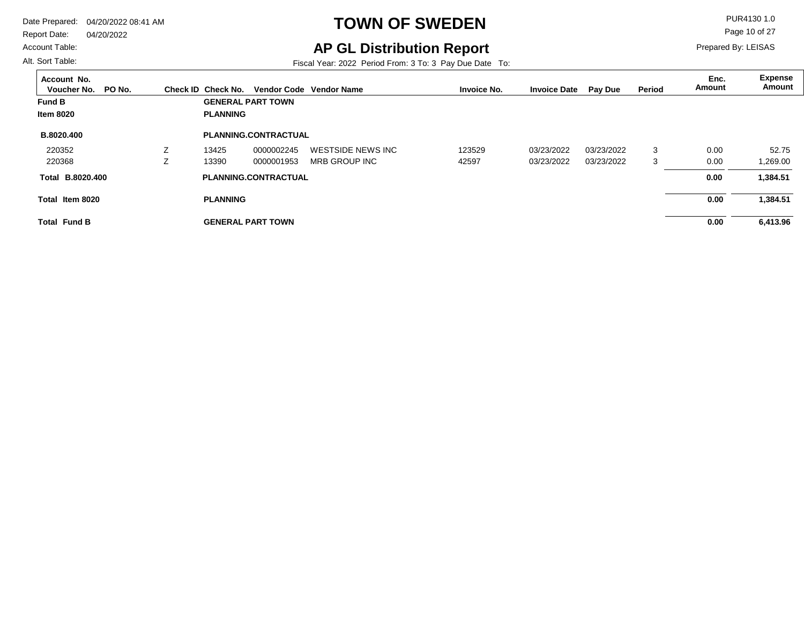Report Date: 04/20/2022

Account Table:

Alt. Sort Table:

# **TOWN OF SWEDEN** PUR4130 1.0

Page 10 of 27

Prepared By: LEISAS

## **AP GL Distribution Report**

| Account No.<br>PO No.<br>Voucher No. | Check ID Check No. |                             | Vendor Code Vendor Name | <b>Invoice No.</b> | <b>Invoice Date</b> | Pay Due    | Period | Enc.<br>Amount | <b>Expense</b><br>Amount |
|--------------------------------------|--------------------|-----------------------------|-------------------------|--------------------|---------------------|------------|--------|----------------|--------------------------|
| <b>Fund B</b>                        |                    | <b>GENERAL PART TOWN</b>    |                         |                    |                     |            |        |                |                          |
| <b>Item 8020</b>                     | <b>PLANNING</b>    |                             |                         |                    |                     |            |        |                |                          |
| B.8020.400                           |                    | <b>PLANNING.CONTRACTUAL</b> |                         |                    |                     |            |        |                |                          |
| 220352                               | 13425              | 0000002245                  | WESTSIDE NEWS INC       | 123529             | 03/23/2022          | 03/23/2022 | 3      | 0.00           | 52.75                    |
| 220368                               | 13390              | 0000001953                  | MRB GROUP INC           | 42597              | 03/23/2022          | 03/23/2022 | 3      | 0.00           | 1,269.00                 |
| Total B.8020.400                     |                    | <b>PLANNING.CONTRACTUAL</b> |                         |                    |                     |            |        | 0.00           | 1,384.51                 |
| Total Item 8020                      | <b>PLANNING</b>    |                             |                         |                    |                     |            |        | 0.00           | 1,384.51                 |
| <b>Total Fund B</b>                  |                    | <b>GENERAL PART TOWN</b>    |                         |                    |                     |            |        | 0.00           | 6,413.96                 |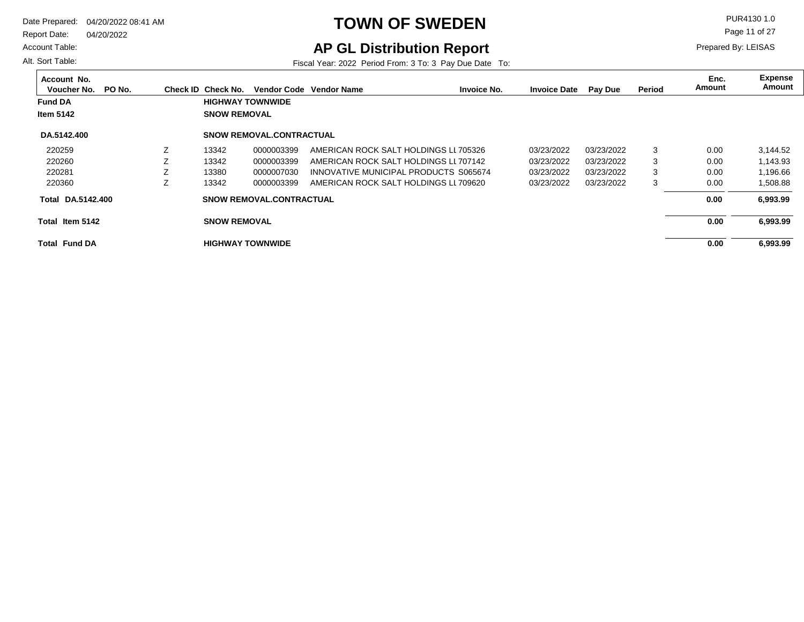Report Date: 04/20/2022

Account Table:

Alt. Sort Table:

## **TOWN OF SWEDEN** PUR4130 1.0

Page 11 of 27

Prepared By: LEISAS

## **AP GL Distribution Report**

| Account No.<br>Voucher No. | PO No. |   | Check ID Check No.      | <b>Vendor Code</b>              | <b>Vendor Name</b>                    | <b>Invoice No.</b> | <b>Invoice Date</b> | <b>Pay Due</b> | Period | Enc.<br>Amount | Expense<br>Amount |
|----------------------------|--------|---|-------------------------|---------------------------------|---------------------------------------|--------------------|---------------------|----------------|--------|----------------|-------------------|
| <b>Fund DA</b>             |        |   | <b>HIGHWAY TOWNWIDE</b> |                                 |                                       |                    |                     |                |        |                |                   |
|                            |        |   |                         |                                 |                                       |                    |                     |                |        |                |                   |
| Item 5142                  |        |   | <b>SNOW REMOVAL</b>     |                                 |                                       |                    |                     |                |        |                |                   |
| DA.5142.400                |        |   |                         | <b>SNOW REMOVAL CONTRACTUAL</b> |                                       |                    |                     |                |        |                |                   |
| 220259                     |        | Z | 13342                   | 0000003399                      | AMERICAN ROCK SALT HOLDINGS LL705326  |                    | 03/23/2022          | 03/23/2022     | 3      | 0.00           | 3,144.52          |
| 220260                     |        |   | 13342                   | 0000003399                      | AMERICAN ROCK SALT HOLDINGS LI 707142 |                    | 03/23/2022          | 03/23/2022     | 3      | 0.00           | 1,143.93          |
| 220281                     |        |   | 13380                   | 0000007030                      | INNOVATIVE MUNICIPAL PRODUCTS S065674 |                    | 03/23/2022          | 03/23/2022     | 3      | 0.00           | 1,196.66          |
| 220360                     |        | Z | 13342                   | 0000003399                      | AMERICAN ROCK SALT HOLDINGS LI 709620 |                    | 03/23/2022          | 03/23/2022     | 3      | 0.00           | 1,508.88          |
| DA.5142.400<br>Total       |        |   |                         | <b>SNOW REMOVAL CONTRACTUAL</b> |                                       |                    |                     |                |        | 0.00           | 6,993.99          |
| Total Item 5142            |        |   | <b>SNOW REMOVAL</b>     |                                 |                                       |                    |                     |                |        | 0.00           | 6,993.99          |
| <b>Total Fund DA</b>       |        |   | <b>HIGHWAY TOWNWIDE</b> |                                 |                                       |                    |                     |                |        | 0.00           | 6,993.99          |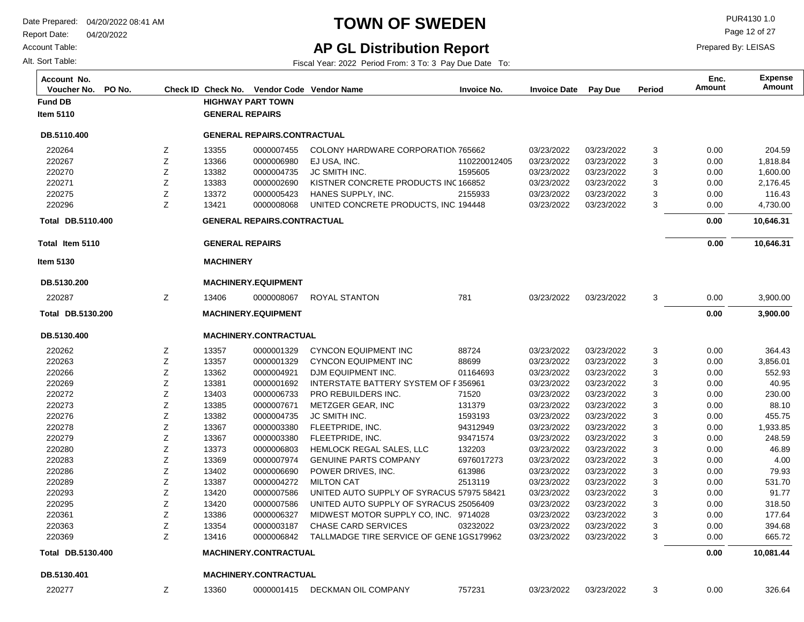Report Date: 04/20/2022

Account Table:

Alt. Sort Table:

## **TOWN OF SWEDEN** PUR4130 1.0

Page 12 of 27

Prepared By: LEISAS

## **AP GL Distribution Report**

| Account No.<br>Voucher No.<br>PO No. |    |                        | Check ID Check No. Vendor Code Vendor Name |                                                    | <b>Invoice No.</b> | <b>Invoice Date</b> | Pay Due    | Period | Enc.<br>Amount | <b>Expense</b><br>Amount |
|--------------------------------------|----|------------------------|--------------------------------------------|----------------------------------------------------|--------------------|---------------------|------------|--------|----------------|--------------------------|
| <b>Fund DB</b>                       |    |                        | <b>HIGHWAY PART TOWN</b>                   |                                                    |                    |                     |            |        |                |                          |
| Item 5110                            |    | <b>GENERAL REPAIRS</b> |                                            |                                                    |                    |                     |            |        |                |                          |
| DB.5110.400                          |    |                        | <b>GENERAL REPAIRS.CONTRACTUAL</b>         |                                                    |                    |                     |            |        |                |                          |
| 220264                               | Ζ  | 13355                  | 0000007455                                 | COLONY HARDWARE CORPORATION 765662                 |                    | 03/23/2022          | 03/23/2022 | 3      | 0.00           | 204.59                   |
| 220267                               | Ζ  | 13366                  | 0000006980                                 | EJ USA, INC.                                       | 110220012405       | 03/23/2022          | 03/23/2022 | 3      | 0.00           | 1,818.84                 |
| 220270                               | Ζ  | 13382                  | 0000004735                                 | <b>JC SMITH INC.</b>                               | 1595605            | 03/23/2022          | 03/23/2022 | 3      | 0.00           | 1,600.00                 |
| 220271                               | Ζ  | 13383                  | 0000002690                                 | KISTNER CONCRETE PRODUCTS INC 166852               |                    | 03/23/2022          | 03/23/2022 | 3      | 0.00           | 2,176.45                 |
| 220275                               | Ζ  | 13372                  | 0000005423                                 | HANES SUPPLY, INC.                                 | 2155933            | 03/23/2022          | 03/23/2022 | 3      | 0.00           | 116.43                   |
| 220296                               | Ζ  | 13421                  | 0000008068                                 | UNITED CONCRETE PRODUCTS, INC. 194448              |                    | 03/23/2022          | 03/23/2022 | 3      | 0.00           | 4,730.00                 |
| <b>Total DB.5110.400</b>             |    |                        | <b>GENERAL REPAIRS.CONTRACTUAL</b>         |                                                    |                    |                     |            |        | 0.00           | 10,646.31                |
| Total Item 5110                      |    | <b>GENERAL REPAIRS</b> |                                            |                                                    |                    |                     |            |        | 0.00           | 10,646.31                |
| <b>Item 5130</b>                     |    | <b>MACHINERY</b>       |                                            |                                                    |                    |                     |            |        |                |                          |
| DB.5130.200                          |    |                        | <b>MACHINERY.EQUIPMENT</b>                 |                                                    |                    |                     |            |        |                |                          |
| 220287                               | Ζ  | 13406                  | 0000008067                                 | ROYAL STANTON                                      | 781                | 03/23/2022          | 03/23/2022 | 3      | 0.00           | 3,900.00                 |
| Total DB.5130.200                    |    |                        | <b>MACHINERY.EQUIPMENT</b>                 |                                                    |                    |                     |            |        | 0.00           | 3,900.00                 |
| DB.5130.400                          |    |                        | MACHINERY.CONTRACTUAL                      |                                                    |                    |                     |            |        |                |                          |
| 220262                               | z  | 13357                  | 0000001329                                 | <b>CYNCON EQUIPMENT INC</b>                        | 88724              | 03/23/2022          | 03/23/2022 | 3      | 0.00           | 364.43                   |
| 220263                               | Ζ  | 13357                  | 0000001329                                 | <b>CYNCON EQUIPMENT INC</b>                        | 88699              | 03/23/2022          | 03/23/2022 | 3      | 0.00           | 3,856.01                 |
| 220266                               | Ζ  | 13362                  | 0000004921                                 | DJM EQUIPMENT INC.                                 | 01164693           | 03/23/2022          | 03/23/2022 | 3      | 0.00           | 552.93                   |
| 220269                               | Ζ  | 13381                  | 0000001692                                 | <b>INTERSTATE BATTERY SYSTEM OF F356961</b>        |                    | 03/23/2022          | 03/23/2022 | 3      | 0.00           | 40.95                    |
| 220272                               | Ζ  | 13403                  | 0000006733                                 | PRO REBUILDERS INC.                                | 71520              | 03/23/2022          | 03/23/2022 | 3      | 0.00           | 230.00                   |
| 220273                               | Ζ  | 13385                  | 0000007671                                 | METZGER GEAR, INC                                  | 131379             | 03/23/2022          | 03/23/2022 | 3      | 0.00           | 88.10                    |
| 220276                               | Ζ  | 13382                  | 0000004735                                 | JC SMITH INC.                                      | 1593193            | 03/23/2022          | 03/23/2022 | 3      | 0.00           | 455.75                   |
| 220278                               | Ζ  | 13367                  | 0000003380                                 | FLEETPRIDE, INC.                                   | 94312949           | 03/23/2022          | 03/23/2022 | 3      | 0.00           | 1,933.85                 |
| 220279                               | Ζ  | 13367                  | 0000003380                                 | FLEETPRIDE, INC.                                   | 93471574           | 03/23/2022          | 03/23/2022 | 3      | 0.00           | 248.59                   |
| 220280                               | Ζ  | 13373                  | 0000006803                                 | HEMLOCK REGAL SALES, LLC                           | 132203             | 03/23/2022          | 03/23/2022 | 3      | 0.00           | 46.89                    |
| 220283                               | Ζ  | 13369                  | 0000007974                                 | <b>GENUINE PARTS COMPANY</b>                       | 6976017273         | 03/23/2022          | 03/23/2022 | 3      | 0.00           | 4.00                     |
| 220286                               | Ζ  | 13402                  | 0000006690                                 | POWER DRIVES, INC.                                 | 613986             | 03/23/2022          | 03/23/2022 | 3      | 0.00           | 79.93                    |
| 220289                               | Ζ  | 13387                  | 0000004272                                 | <b>MILTON CAT</b>                                  | 2513119            | 03/23/2022          | 03/23/2022 | 3      | 0.00           | 531.70                   |
| 220293                               | Ζ  | 13420                  | 0000007586                                 | UNITED AUTO SUPPLY OF SYRACUS 57975 58421          |                    | 03/23/2022          | 03/23/2022 | 3      | 0.00           | 91.77                    |
| 220295                               | Ζ  | 13420                  | 0000007586                                 | UNITED AUTO SUPPLY OF SYRACUS 25056409             |                    | 03/23/2022          | 03/23/2022 | 3      | 0.00           | 318.50                   |
| 220361                               | Ζ  | 13386                  | 0000006327                                 | MIDWEST MOTOR SUPPLY CO. INC. 9714028              |                    | 03/23/2022          | 03/23/2022 | 3      | 0.00           | 177.64                   |
| 220363                               |    | 13354                  | 0000003187                                 | CHASE CARD SERVICES                                | 03232022           | 03/23/2022          | 03/23/2022 | ٩      | 0.00           | 394.68                   |
| 220369                               | Ζ  | 13416                  |                                            | 0000006842 TALLMADGE TIRE SERVICE OF GENE1GS179962 |                    | 03/23/2022          | 03/23/2022 | 3      | 0.00           | 665.72                   |
| Total DB.5130.400                    |    |                        | MACHINERY.CONTRACTUAL                      |                                                    |                    |                     |            |        | 0.00           | 10,081.44                |
| DB.5130.401                          |    |                        | MACHINERY.CONTRACTUAL                      |                                                    |                    |                     |            |        |                |                          |
| 220277                               | Z. | 13360                  |                                            | 0000001415 DECKMAN OIL COMPANY                     | 757231             | 03/23/2022          | 03/23/2022 | 3      | 0.00           | 326.64                   |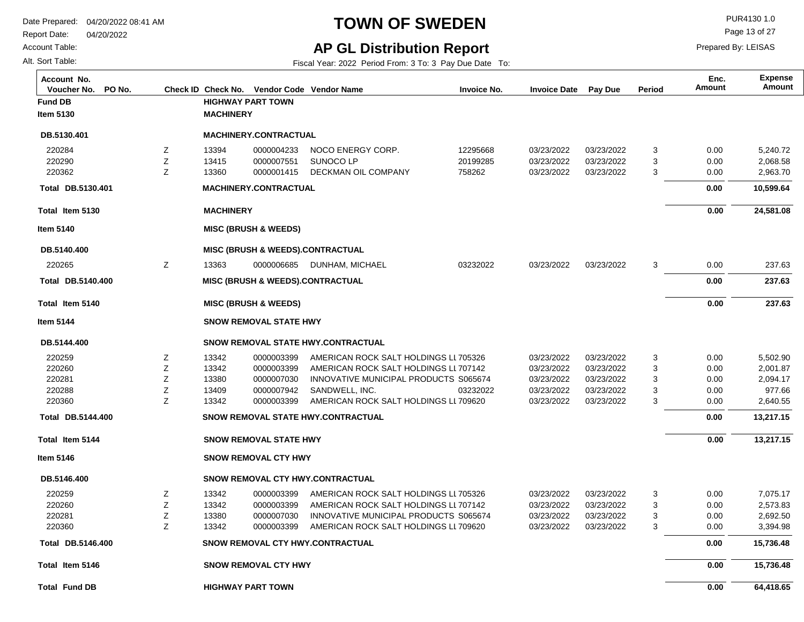Account Table:

Alt. Sort Table:

## **TOWN OF SWEDEN** PUR4130 1.0

Page 13 of 27

Prepared By: LEISAS

#### **AP GL Distribution Report** Fiscal Year: 2022 Period From: 3 To: 3 Pay Due Date To:

| Account No.<br>PO No.<br>Voucher No. |   |                          |                                 | Check ID Check No. Vendor Code Vendor Name  | <b>Invoice No.</b> | <b>Invoice Date</b> | Pay Due    | Period | Enc.<br>Amount | <b>Expense</b><br><b>Amount</b> |
|--------------------------------------|---|--------------------------|---------------------------------|---------------------------------------------|--------------------|---------------------|------------|--------|----------------|---------------------------------|
| <b>Fund DB</b>                       |   |                          | <b>HIGHWAY PART TOWN</b>        |                                             |                    |                     |            |        |                |                                 |
| <b>Item 5130</b>                     |   | <b>MACHINERY</b>         |                                 |                                             |                    |                     |            |        |                |                                 |
| DB.5130.401                          |   |                          | <b>MACHINERY.CONTRACTUAL</b>    |                                             |                    |                     |            |        |                |                                 |
| 220284                               | Ζ | 13394                    | 0000004233                      | NOCO ENERGY CORP.                           | 12295668           | 03/23/2022          | 03/23/2022 | 3      | 0.00           | 5,240.72                        |
| 220290                               | Z | 13415                    | 0000007551                      | SUNOCO LP                                   | 20199285           | 03/23/2022          | 03/23/2022 | 3      | 0.00           | 2,068.58                        |
| 220362                               | Z | 13360                    | 0000001415                      | DECKMAN OIL COMPANY                         | 758262             | 03/23/2022          | 03/23/2022 | 3      | 0.00           | 2,963.70                        |
| Total DB.5130.401                    |   |                          | MACHINERY.CONTRACTUAL           |                                             |                    |                     |            |        | 0.00           | 10,599.64                       |
| Total Item 5130                      |   | <b>MACHINERY</b>         |                                 |                                             |                    |                     |            |        | 0.00           | 24,581.08                       |
| Item 5140                            |   |                          | <b>MISC (BRUSH &amp; WEEDS)</b> |                                             |                    |                     |            |        |                |                                 |
| DB.5140.400                          |   |                          |                                 | <b>MISC (BRUSH &amp; WEEDS).CONTRACTUAL</b> |                    |                     |            |        |                |                                 |
| 220265                               | Ζ | 13363                    | 0000006685                      | DUNHAM, MICHAEL                             | 03232022           | 03/23/2022          | 03/23/2022 | 3      | 0.00           | 237.63                          |
| Total DB.5140.400                    |   |                          |                                 | <b>MISC (BRUSH &amp; WEEDS).CONTRACTUAL</b> |                    |                     |            |        | 0.00           | 237.63                          |
| Total Item 5140                      |   |                          | <b>MISC (BRUSH &amp; WEEDS)</b> |                                             |                    |                     |            |        | 0.00           | 237.63                          |
| <b>Item 5144</b>                     |   |                          | <b>SNOW REMOVAL STATE HWY</b>   |                                             |                    |                     |            |        |                |                                 |
| DB.5144.400                          |   |                          |                                 | <b>SNOW REMOVAL STATE HWY CONTRACTUAL</b>   |                    |                     |            |        |                |                                 |
| 220259                               | Ζ | 13342                    | 0000003399                      | AMERICAN ROCK SALT HOLDINGS LL705326        |                    | 03/23/2022          | 03/23/2022 | 3      | 0.00           | 5,502.90                        |
| 220260                               | Ζ | 13342                    | 0000003399                      | AMERICAN ROCK SALT HOLDINGS LL 707142       |                    | 03/23/2022          | 03/23/2022 | 3      | 0.00           | 2,001.87                        |
| 220281                               | Ζ | 13380                    | 0000007030                      | INNOVATIVE MUNICIPAL PRODUCTS S065674       |                    | 03/23/2022          | 03/23/2022 | 3      | 0.00           | 2,094.17                        |
| 220288                               | Ζ | 13409                    | 0000007942                      | SANDWELL, INC.                              | 03232022           | 03/23/2022          | 03/23/2022 | 3      | 0.00           | 977.66                          |
| 220360                               | Z | 13342                    | 0000003399                      | AMERICAN ROCK SALT HOLDINGS LL 709620       |                    | 03/23/2022          | 03/23/2022 | 3      | 0.00           | 2,640.55                        |
| Total DB.5144.400                    |   |                          |                                 | <b>SNOW REMOVAL STATE HWY.CONTRACTUAL</b>   |                    |                     |            |        | 0.00           | 13,217.15                       |
| Total Item 5144                      |   |                          | <b>SNOW REMOVAL STATE HWY</b>   |                                             |                    |                     |            |        | 0.00           | 13,217.15                       |
| <b>Item 5146</b>                     |   |                          | <b>SNOW REMOVAL CTY HWY</b>     |                                             |                    |                     |            |        |                |                                 |
| DB.5146.400                          |   |                          |                                 | SNOW REMOVAL CTY HWY.CONTRACTUAL            |                    |                     |            |        |                |                                 |
| 220259                               | Ζ | 13342                    | 0000003399                      | AMERICAN ROCK SALT HOLDINGS LL705326        |                    | 03/23/2022          | 03/23/2022 | 3      | 0.00           | 7,075.17                        |
| 220260                               | Z | 13342                    | 0000003399                      | AMERICAN ROCK SALT HOLDINGS LL707142        |                    | 03/23/2022          | 03/23/2022 | 3      | 0.00           | 2,573.83                        |
| 220281                               | Ζ | 13380                    | 0000007030                      | INNOVATIVE MUNICIPAL PRODUCTS S065674       |                    | 03/23/2022          | 03/23/2022 | 3      | 0.00           | 2,692.50                        |
| 220360                               | Z | 13342                    | 0000003399                      | AMERICAN ROCK SALT HOLDINGS LL 709620       |                    | 03/23/2022          | 03/23/2022 | 3      | 0.00           | 3,394.98                        |
| Total DB.5146.400                    |   |                          |                                 | SNOW REMOVAL CTY HWY.CONTRACTUAL            |                    |                     |            |        | 0.00           | 15,736.48                       |
| Total Item 5146                      |   |                          | <b>SNOW REMOVAL CTY HWY</b>     |                                             |                    |                     |            |        | 0.00           | 15,736.48                       |
| <b>Total Fund DB</b>                 |   | <b>HIGHWAY PART TOWN</b> |                                 |                                             |                    |                     |            |        | 0.00           | 64,418.65                       |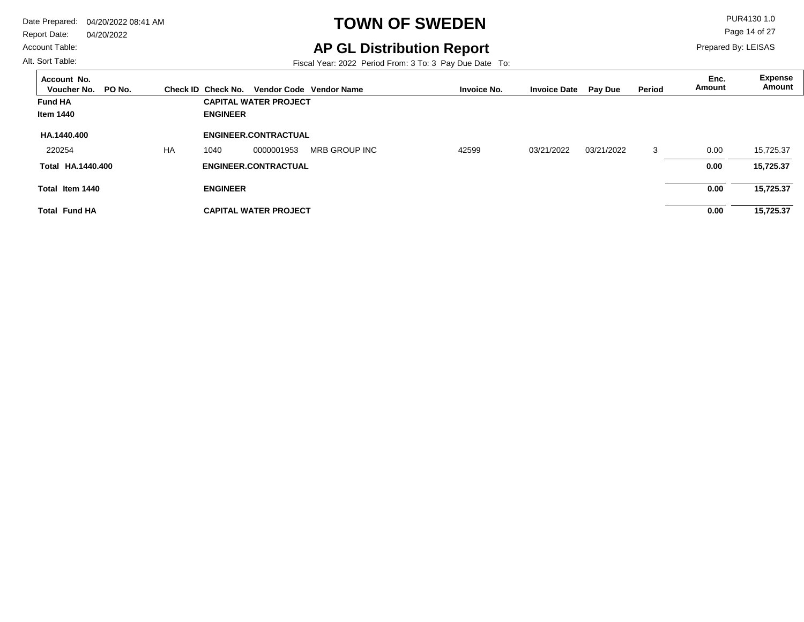Account Table:

#### Alt. Sort Table:

# **TOWN OF SWEDEN** PUR4130 1.0

Page 14 of 27

Prepared By: LEISAS

## **AP GL Distribution Report**

| Account No.<br>Voucher No.<br>PO No. |           | Check ID Check No. |                              | Vendor Code Vendor Name | <b>Invoice No.</b> | <b>Invoice Date</b> | <b>Pay Due</b> | Period | Enc.<br>Amount | <b>Expense</b><br>Amount |
|--------------------------------------|-----------|--------------------|------------------------------|-------------------------|--------------------|---------------------|----------------|--------|----------------|--------------------------|
| <b>Fund HA</b>                       |           |                    | <b>CAPITAL WATER PROJECT</b> |                         |                    |                     |                |        |                |                          |
| <b>Item 1440</b>                     |           | <b>ENGINEER</b>    |                              |                         |                    |                     |                |        |                |                          |
| HA.1440.400                          |           |                    | ENGINEER.CONTRACTUAL         |                         |                    |                     |                |        |                |                          |
| 220254                               | <b>HA</b> | 1040               | 0000001953                   | MRB GROUP INC           | 42599              | 03/21/2022          | 03/21/2022     | 3      | 0.00           | 15,725.37                |
| Total HA.1440.400                    |           |                    | <b>ENGINEER.CONTRACTUAL</b>  |                         |                    |                     |                |        | 0.00           | 15,725.37                |
| Total Item 1440                      |           | <b>ENGINEER</b>    |                              |                         |                    |                     |                |        | 0.00           | 15,725.37                |
| <b>Total Fund HA</b>                 |           |                    | <b>CAPITAL WATER PROJECT</b> |                         |                    |                     |                |        | 0.00           | 15,725.37                |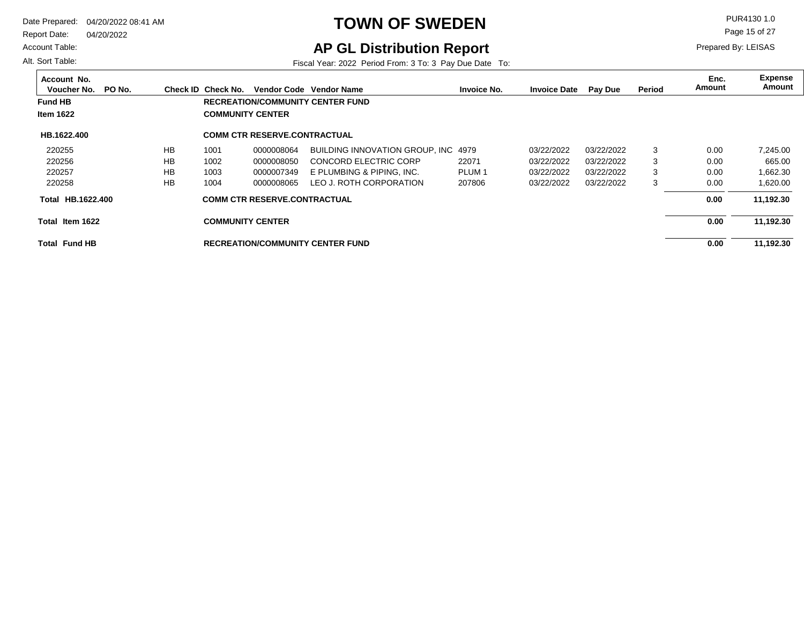Report Date: 04/20/2022

#### Account Table:

Alt. Sort Table:

# **TOWN OF SWEDEN** PUR4130 1.0

Page 15 of 27

Prepared By: LEISAS

## **AP GL Distribution Report**

| Account No.<br>Voucher No. | PO No. |           | Check ID Check No.      |                                     | Vendor Code Vendor Name                 | <b>Invoice No.</b> | <b>Invoice Date</b> | <b>Pay Due</b> | Period | Enc.<br>Amount | <b>Expense</b><br>Amount |
|----------------------------|--------|-----------|-------------------------|-------------------------------------|-----------------------------------------|--------------------|---------------------|----------------|--------|----------------|--------------------------|
| <b>Fund HB</b>             |        |           |                         |                                     | <b>RECREATION/COMMUNITY CENTER FUND</b> |                    |                     |                |        |                |                          |
| <b>Item 1622</b>           |        |           | <b>COMMUNITY CENTER</b> |                                     |                                         |                    |                     |                |        |                |                          |
| HB.1622.400                |        |           |                         | <b>COMM CTR RESERVE CONTRACTUAL</b> |                                         |                    |                     |                |        |                |                          |
| 220255                     |        | <b>HB</b> | 1001                    | 0000008064                          | BUILDING INNOVATION GROUP. INC 4979     |                    | 03/22/2022          | 03/22/2022     | 3      | 0.00           | 7.245.00                 |
| 220256                     |        | <b>HB</b> | 1002                    | 0000008050                          | <b>CONCORD ELECTRIC CORP</b>            | 22071              | 03/22/2022          | 03/22/2022     | 3      | 0.00           | 665.00                   |
| 220257                     |        | <b>HB</b> | 1003                    | 0000007349                          | E PLUMBING & PIPING, INC.               | PLUM <sub>1</sub>  | 03/22/2022          | 03/22/2022     | 3      | 0.00           | 1,662.30                 |
| 220258                     |        | <b>HB</b> | 1004                    | 0000008065                          | LEO J. ROTH CORPORATION                 | 207806             | 03/22/2022          | 03/22/2022     | 3      | 0.00           | 1,620.00                 |
| HB.1622.400<br>Total       |        |           |                         | <b>COMM CTR RESERVE.CONTRACTUAL</b> |                                         |                    |                     |                |        | 0.00           | 11,192.30                |
| Total Item 1622            |        |           | <b>COMMUNITY CENTER</b> |                                     |                                         |                    |                     |                |        | 0.00           | 11,192.30                |
| <b>Total Fund HB</b>       |        |           |                         |                                     | <b>RECREATION/COMMUNITY CENTER FUND</b> |                    |                     |                |        | 0.00           | 11,192.30                |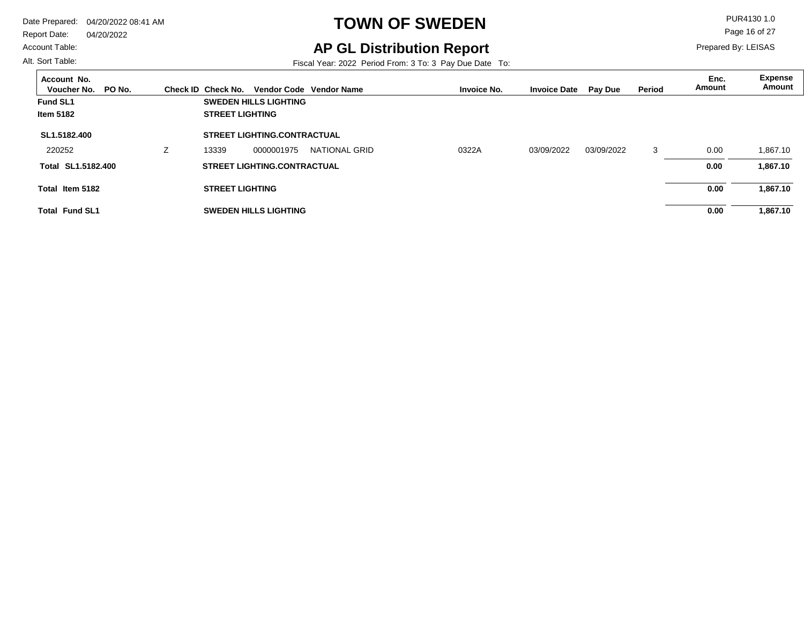#### Account Table:

Alt. Sort Table:

# **TOWN OF SWEDEN** PUR4130 1.0

## **AP GL Distribution Report**

Fiscal Year: 2022 Period From: 3 To: 3 Pay Due Date To:

Page 16 of 27

| Account No.<br>PO No.<br>Voucher No. |               | Check ID Check No.     |                                    | Vendor Code Vendor Name | <b>Invoice No.</b> | <b>Invoice Date</b> | <b>Pay Due</b> | Period | Enc.<br>Amount | Expense<br>Amount |
|--------------------------------------|---------------|------------------------|------------------------------------|-------------------------|--------------------|---------------------|----------------|--------|----------------|-------------------|
| <b>Fund SL1</b>                      |               |                        | <b>SWEDEN HILLS LIGHTING</b>       |                         |                    |                     |                |        |                |                   |
| <b>Item 5182</b>                     |               | <b>STREET LIGHTING</b> |                                    |                         |                    |                     |                |        |                |                   |
| SL1.5182.400                         |               |                        | <b>STREET LIGHTING.CONTRACTUAL</b> |                         |                    |                     |                |        |                |                   |
| 220252                               | $\mathcal{L}$ | 13339                  | 0000001975                         | NATIONAL GRID           | 0322A              | 03/09/2022          | 03/09/2022     | 3      | 0.00           | 1.867.10          |
| Total SL1.5182.400                   |               |                        | <b>STREET LIGHTING.CONTRACTUAL</b> |                         |                    |                     |                |        | 0.00           | 1,867.10          |
| Total Item 5182                      |               | <b>STREET LIGHTING</b> |                                    |                         |                    |                     |                |        | 0.00           | 1,867.10          |
| <b>Total Fund SL1</b>                |               |                        | <b>SWEDEN HILLS LIGHTING</b>       |                         |                    |                     |                |        | 0.00           | 1,867.10          |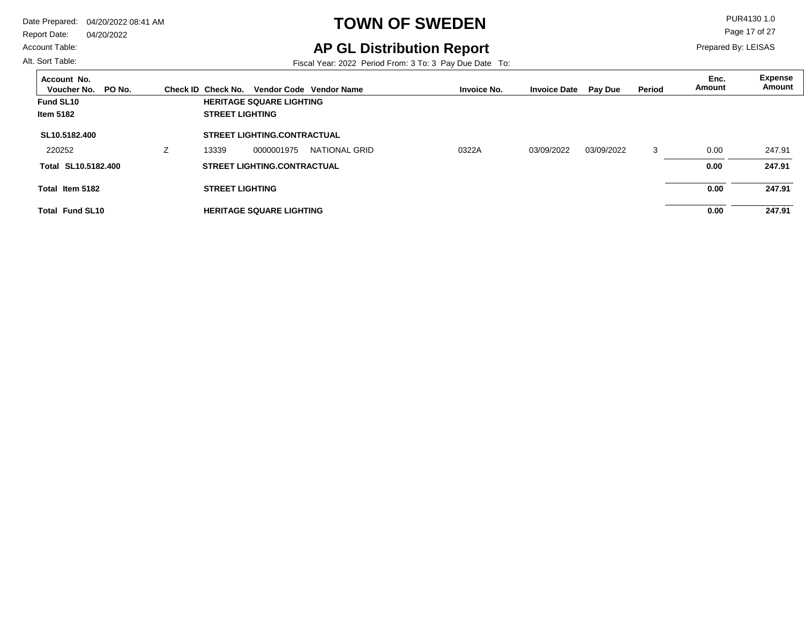Account Table:

#### Alt. Sort Table:

# **TOWN OF SWEDEN** PUR4130 1.0

**AP GL Distribution Report**

Fiscal Year: 2022 Period From: 3 To: 3 Pay Due Date To:

Page 17 of 27

| Account No.<br>PO No.<br>Voucher No. |   | Check ID Check No.     |                                    | Vendor Code Vendor Name | <b>Invoice No.</b> | <b>Invoice Date</b> | <b>Pay Due</b> | Period | Enc.<br>Amount | Expense<br>Amount |
|--------------------------------------|---|------------------------|------------------------------------|-------------------------|--------------------|---------------------|----------------|--------|----------------|-------------------|
| Fund SL10                            |   |                        | <b>HERITAGE SQUARE LIGHTING</b>    |                         |                    |                     |                |        |                |                   |
| <b>Item 5182</b>                     |   | <b>STREET LIGHTING</b> |                                    |                         |                    |                     |                |        |                |                   |
| SL10.5182.400                        |   |                        | <b>STREET LIGHTING.CONTRACTUAL</b> |                         |                    |                     |                |        |                |                   |
| 220252                               | Z | 13339                  | 0000001975                         | NATIONAL GRID           | 0322A              | 03/09/2022          | 03/09/2022     | 3      | 0.00           | 247.91            |
| Total SL10.5182.400                  |   |                        | <b>STREET LIGHTING.CONTRACTUAL</b> |                         |                    |                     |                |        | 0.00           | 247.91            |
| Total Item 5182                      |   | <b>STREET LIGHTING</b> |                                    |                         |                    |                     |                |        | 0.00           | 247.91            |
| <b>Total Fund SL10</b>               |   |                        | <b>HERITAGE SQUARE LIGHTING</b>    |                         |                    |                     |                |        | 0.00           | 247.91            |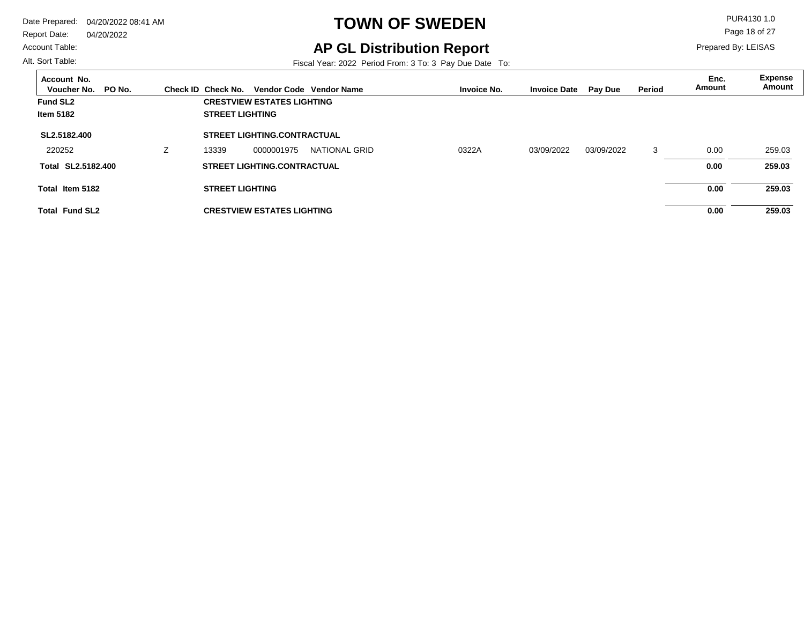#### Account Table:

Alt. Sort Table:

# **TOWN OF SWEDEN** PUR4130 1.0

## **AP GL Distribution Report**

Fiscal Year: 2022 Period From: 3 To: 3 Pay Due Date To:

Page 18 of 27

| Account No.<br>PO No.<br>Voucher No. | Check ID Check No.     |                                    | Vendor Code Vendor Name | <b>Invoice No.</b> | <b>Invoice Date</b> | <b>Pay Due</b> | Period | Enc.<br>Amount | <b>Expense</b><br>Amount |
|--------------------------------------|------------------------|------------------------------------|-------------------------|--------------------|---------------------|----------------|--------|----------------|--------------------------|
| Fund SL <sub>2</sub>                 |                        | <b>CRESTVIEW ESTATES LIGHTING</b>  |                         |                    |                     |                |        |                |                          |
| <b>Item 5182</b>                     | <b>STREET LIGHTING</b> |                                    |                         |                    |                     |                |        |                |                          |
| SL2.5182.400                         |                        | <b>STREET LIGHTING.CONTRACTUAL</b> |                         |                    |                     |                |        |                |                          |
| 220252                               | 13339                  | 0000001975                         | NATIONAL GRID           | 0322A              | 03/09/2022          | 03/09/2022     | 3      | 0.00           | 259.03                   |
| Total SL2.5182.400                   |                        | <b>STREET LIGHTING.CONTRACTUAL</b> |                         |                    |                     |                |        | 0.00           | 259.03                   |
| Total Item 5182                      | <b>STREET LIGHTING</b> |                                    |                         |                    |                     |                |        | 0.00           | 259.03                   |
| <b>Total Fund SL2</b>                |                        | <b>CRESTVIEW ESTATES LIGHTING</b>  |                         |                    |                     |                |        | 0.00           | 259.03                   |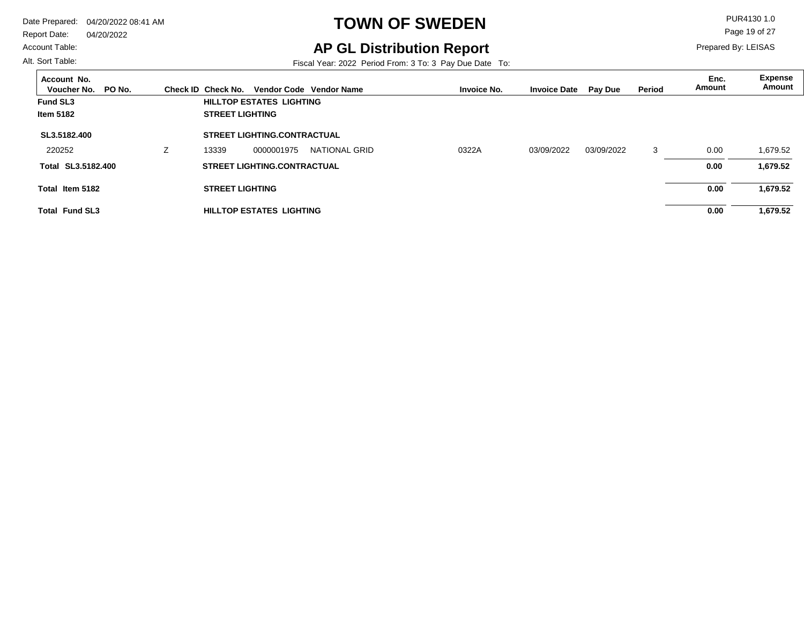#### Account Table:

Alt. Sort Table:

# **TOWN OF SWEDEN** PUR4130 1.0

**AP GL Distribution Report**

Fiscal Year: 2022 Period From: 3 To: 3 Pay Due Date To:

Page 19 of 27

| Account No.<br>Voucher No.<br>PO No. | Check ID Check No.     |                                    | Vendor Code Vendor Name | <b>Invoice No.</b> | <b>Invoice Date</b> | <b>Pay Due</b> | <b>Period</b> | Enc.<br>Amount | <b>Expense</b><br>Amount |
|--------------------------------------|------------------------|------------------------------------|-------------------------|--------------------|---------------------|----------------|---------------|----------------|--------------------------|
| <b>Fund SL3</b>                      |                        | <b>HILLTOP ESTATES LIGHTING</b>    |                         |                    |                     |                |               |                |                          |
| <b>Item 5182</b>                     | <b>STREET LIGHTING</b> |                                    |                         |                    |                     |                |               |                |                          |
| SL3.5182.400                         |                        | <b>STREET LIGHTING.CONTRACTUAL</b> |                         |                    |                     |                |               |                |                          |
| 220252                               | 13339                  | 0000001975                         | NATIONAL GRID           | 0322A              | 03/09/2022          | 03/09/2022     | 3             | 0.00           | 1,679.52                 |
| Total SL3.5182.400                   |                        | <b>STREET LIGHTING.CONTRACTUAL</b> |                         |                    |                     |                |               | 0.00           | 1,679.52                 |
| Total Item 5182                      | <b>STREET LIGHTING</b> |                                    |                         |                    |                     |                |               | 0.00           | 1,679.52                 |
| <b>Total Fund SL3</b>                |                        | <b>HILLTOP ESTATES LIGHTING</b>    |                         |                    |                     |                |               | 0.00           | 1,679.52                 |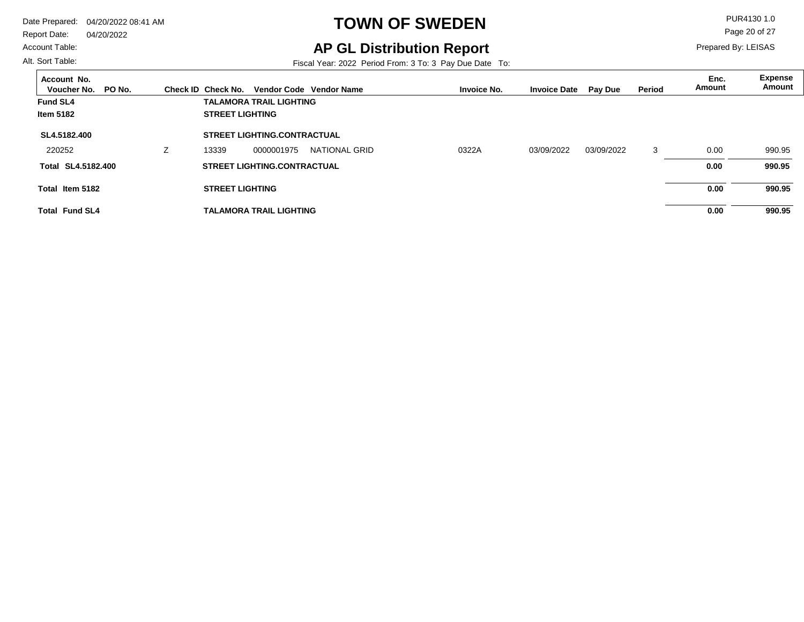Account Table:

#### Alt. Sort Table:

# **TOWN OF SWEDEN** PUR4130 1.0

**AP GL Distribution Report**

Fiscal Year: 2022 Period From: 3 To: 3 Pay Due Date To:

Page 20 of 27

| Account No.<br>PO No.<br>Voucher No. |                | Check ID Check No.     |                                    | Vendor Code Vendor Name |  | <b>Invoice No.</b> | <b>Invoice Date</b> | Pay Due    | Period | Enc.<br>Amount | <b>Expense</b><br>Amount |
|--------------------------------------|----------------|------------------------|------------------------------------|-------------------------|--|--------------------|---------------------|------------|--------|----------------|--------------------------|
| <b>Fund SL4</b>                      |                |                        | <b>TALAMORA TRAIL LIGHTING</b>     |                         |  |                    |                     |            |        |                |                          |
| <b>Item 5182</b>                     |                | <b>STREET LIGHTING</b> |                                    |                         |  |                    |                     |            |        |                |                          |
| SL4.5182.400                         |                |                        | <b>STREET LIGHTING.CONTRACTUAL</b> |                         |  |                    |                     |            |        |                |                          |
| 220252                               | $\overline{ }$ | 13339                  | 0000001975                         | NATIONAL GRID           |  | 0322A              | 03/09/2022          | 03/09/2022 | 3      | 0.00           | 990.95                   |
| Total SL4.5182.400                   |                |                        | <b>STREET LIGHTING.CONTRACTUAL</b> |                         |  |                    |                     |            |        | 0.00           | 990.95                   |
| Total Item 5182                      |                | <b>STREET LIGHTING</b> |                                    |                         |  |                    |                     |            |        | 0.00           | 990.95                   |
| <b>Total Fund SL4</b>                |                |                        | <b>TALAMORA TRAIL LIGHTING</b>     |                         |  |                    |                     |            |        | 0.00           | 990.95                   |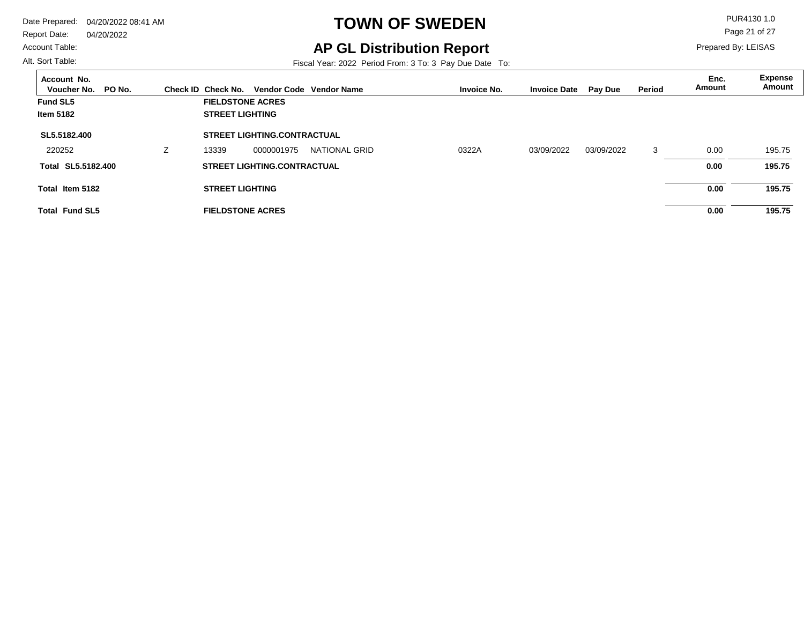Report Date: 04/20/2022

#### Account Table:

Alt. Sort Table:

# **TOWN OF SWEDEN** PUR4130 1.0

**AP GL Distribution Report**

Fiscal Year: 2022 Period From: 3 To: 3 Pay Due Date To:

Page 21 of 27

| Account No.<br>PO No.<br>Voucher No. | Check ID Check No.      |                                    | Vendor Code Vendor Name | <b>Invoice No.</b> | <b>Invoice Date</b> | <b>Pay Due</b> | <b>Period</b> | Enc.<br>Amount | <b>Expense</b><br>Amount |
|--------------------------------------|-------------------------|------------------------------------|-------------------------|--------------------|---------------------|----------------|---------------|----------------|--------------------------|
| <b>Fund SL5</b>                      | <b>FIELDSTONE ACRES</b> |                                    |                         |                    |                     |                |               |                |                          |
| <b>Item 5182</b>                     | <b>STREET LIGHTING</b>  |                                    |                         |                    |                     |                |               |                |                          |
| SL5.5182.400                         |                         | <b>STREET LIGHTING.CONTRACTUAL</b> |                         |                    |                     |                |               |                |                          |
| 220252                               | 13339                   | 0000001975                         | NATIONAL GRID           | 0322A              | 03/09/2022          | 03/09/2022     | 3             | 0.00           | 195.75                   |
| Total SL5.5182.400                   |                         | <b>STREET LIGHTING.CONTRACTUAL</b> |                         |                    |                     |                |               | 0.00           | 195.75                   |
| Total Item 5182                      | <b>STREET LIGHTING</b>  |                                    |                         |                    |                     |                |               | 0.00           | 195.75                   |
| <b>Total Fund SL5</b>                | <b>FIELDSTONE ACRES</b> |                                    |                         |                    |                     |                |               | 0.00           | 195.75                   |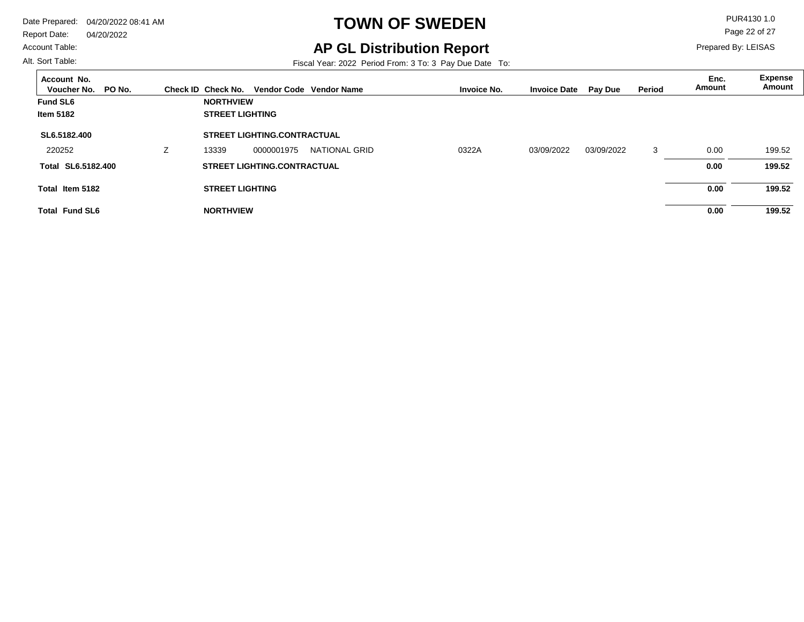Account Table:

#### Alt. Sort Table:

 $\overline{a}$ 

# **TOWN OF SWEDEN** PUR4130 1.0

**AP GL Distribution Report**

Prepared By: LEISAS

Page 22 of 27

| Account No.<br>PO No.<br>Voucher No. |   | Check ID Check No.     |                                    | Vendor Code Vendor Name | <b>Invoice No.</b> | <b>Invoice Date</b> | <b>Pay Due</b> | Period | Enc.<br>Amount | Expense<br>Amount |
|--------------------------------------|---|------------------------|------------------------------------|-------------------------|--------------------|---------------------|----------------|--------|----------------|-------------------|
| <b>Fund SL6</b>                      |   | <b>NORTHVIEW</b>       |                                    |                         |                    |                     |                |        |                |                   |
| <b>Item 5182</b>                     |   | <b>STREET LIGHTING</b> |                                    |                         |                    |                     |                |        |                |                   |
| SL6.5182.400                         |   |                        | <b>STREET LIGHTING.CONTRACTUAL</b> |                         |                    |                     |                |        |                |                   |
| 220252                               | Z | 13339                  | 0000001975                         | <b>NATIONAL GRID</b>    | 0322A              | 03/09/2022          | 03/09/2022     | 3      | 0.00           | 199.52            |
| Total SL6.5182.400                   |   |                        | <b>STREET LIGHTING.CONTRACTUAL</b> |                         |                    |                     |                |        | 0.00           | 199.52            |
| Total Item 5182                      |   | <b>STREET LIGHTING</b> |                                    |                         |                    |                     |                |        | 0.00           | 199.52            |
| <b>Total Fund SL6</b>                |   | <b>NORTHVIEW</b>       |                                    |                         |                    |                     |                |        | 0.00           | 199.52            |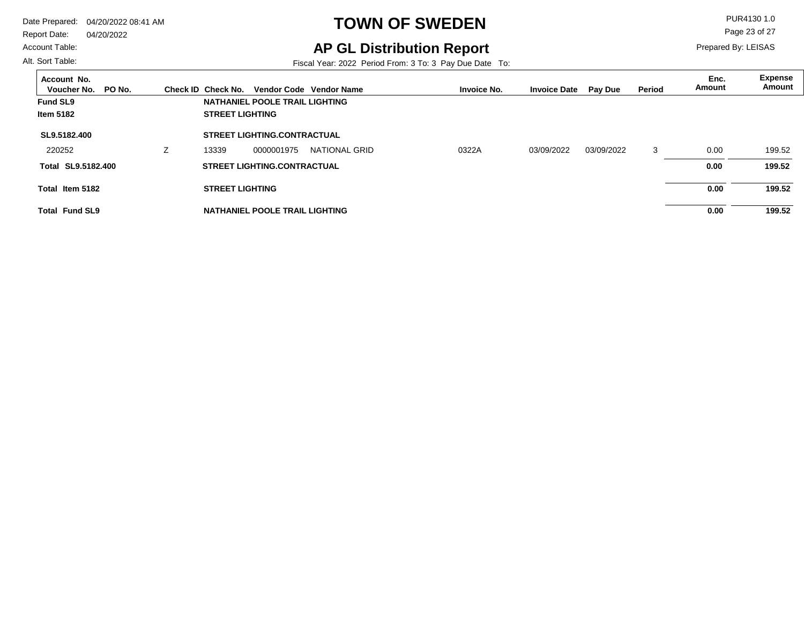#### Account Table:

Alt. Sort Table:

# **TOWN OF SWEDEN** PUR4130 1.0

## **AP GL Distribution Report**

Fiscal Year: 2022 Period From: 3 To: 3 Pay Due Date To:

Page 23 of 27

| Account No.<br>PO No.<br>Voucher No. |                          | Check ID Check No.     |                                    | Vendor Code Vendor Name | <b>Invoice No.</b> | <b>Invoice Date</b> | <b>Pay Due</b> | Period | Enc.<br>Amount | <b>Expense</b><br>Amount |
|--------------------------------------|--------------------------|------------------------|------------------------------------|-------------------------|--------------------|---------------------|----------------|--------|----------------|--------------------------|
| <b>Fund SL9</b>                      |                          |                        | NATHANIEL POOLE TRAIL LIGHTING     |                         |                    |                     |                |        |                |                          |
| <b>Item 5182</b>                     |                          | <b>STREET LIGHTING</b> |                                    |                         |                    |                     |                |        |                |                          |
| SL9.5182.400                         |                          |                        | <b>STREET LIGHTING.CONTRACTUAL</b> |                         |                    |                     |                |        |                |                          |
| 220252                               | $\overline{\phantom{a}}$ | 13339                  | 0000001975                         | NATIONAL GRID           | 0322A              | 03/09/2022          | 03/09/2022     | 3      | 0.00           | 199.52                   |
| Total SL9.5182.400                   |                          |                        | <b>STREET LIGHTING.CONTRACTUAL</b> |                         |                    |                     |                |        | 0.00           | 199.52                   |
| Total Item 5182                      |                          | <b>STREET LIGHTING</b> |                                    |                         |                    |                     |                |        | 0.00           | 199.52                   |
| <b>Total Fund SL9</b>                |                          |                        | NATHANIEL POOLE TRAIL LIGHTING     |                         |                    |                     |                |        | 0.00           | 199.52                   |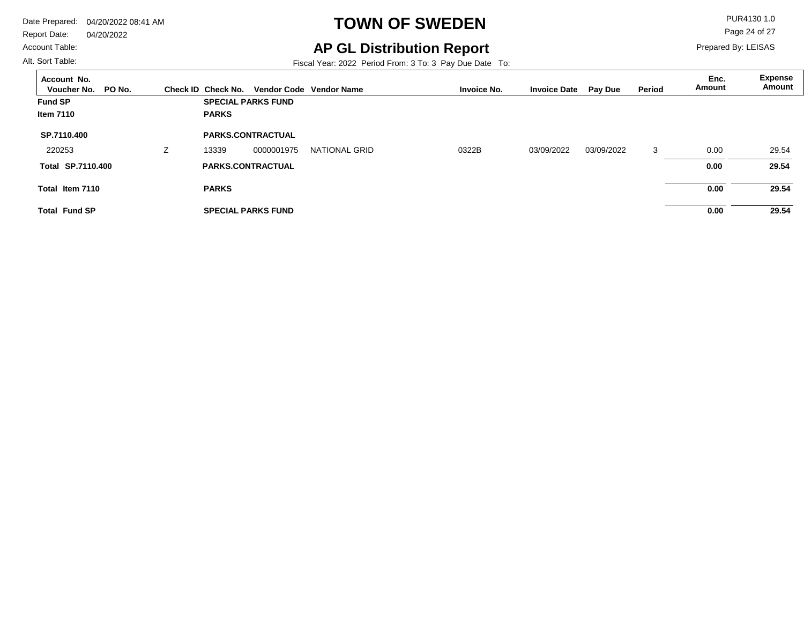Report Date: 04/20/2022

#### Account Table:

Alt. Sort Table:

# **TOWN OF SWEDEN** PUR4130 1.0

**AP GL Distribution Report**

Fiscal Year: 2022 Period From: 3 To: 3 Pay Due Date To:

Page 24 of 27

| Account No.<br>Voucher No.<br>PO No. | Check ID Check No. |                           | Vendor Code Vendor Name |       | <b>Invoice No.</b> | <b>Invoice Date</b> | <b>Pay Due</b> | <b>Period</b> | Enc.<br>Amount | <b>Expense</b><br>Amount |
|--------------------------------------|--------------------|---------------------------|-------------------------|-------|--------------------|---------------------|----------------|---------------|----------------|--------------------------|
| <b>Fund SP</b>                       |                    | <b>SPECIAL PARKS FUND</b> |                         |       |                    |                     |                |               |                |                          |
| Item 7110                            | <b>PARKS</b>       |                           |                         |       |                    |                     |                |               |                |                          |
| SP.7110.400                          |                    | <b>PARKS.CONTRACTUAL</b>  |                         |       |                    |                     |                |               |                |                          |
| 220253                               | 13339              | 0000001975                | <b>NATIONAL GRID</b>    | 0322B |                    | 03/09/2022          | 03/09/2022     | 3             | 0.00           | 29.54                    |
| Total SP.7110.400                    |                    | <b>PARKS.CONTRACTUAL</b>  |                         |       |                    |                     |                |               | 0.00           | 29.54                    |
| Total Item 7110                      | <b>PARKS</b>       |                           |                         |       |                    |                     |                |               | 0.00           | 29.54                    |
| <b>Total Fund SP</b>                 |                    | <b>SPECIAL PARKS FUND</b> |                         |       |                    |                     |                |               | 0.00           | 29.54                    |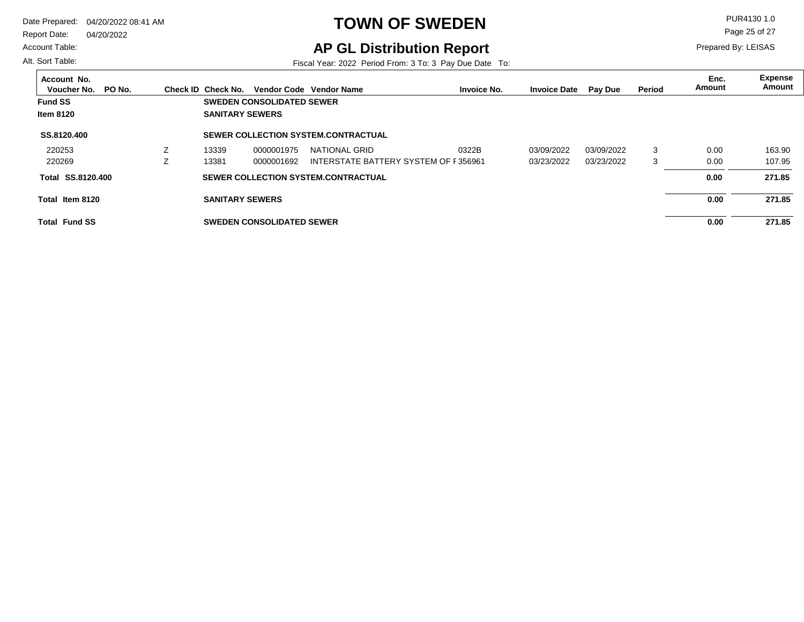Report Date: 04/20/2022

#### Account Table:

Alt. Sort Table:

# **TOWN OF SWEDEN** PUR4130 1.0

**AP GL Distribution Report**

Fiscal Year: 2022 Period From: 3 To: 3 Pay Due Date To:

Page 25 of 27

| Account No.<br>PO No.<br>Voucher No. | Check ID Check No.     |                                  | Vendor Code Vendor Name                    | <b>Invoice No.</b> | <b>Invoice Date</b> | Pay Due    | Period | Enc.<br>Amount | <b>Expense</b><br>Amount |
|--------------------------------------|------------------------|----------------------------------|--------------------------------------------|--------------------|---------------------|------------|--------|----------------|--------------------------|
| <b>Fund SS</b>                       |                        | <b>SWEDEN CONSOLIDATED SEWER</b> |                                            |                    |                     |            |        |                |                          |
| <b>Item 8120</b>                     | <b>SANITARY SEWERS</b> |                                  |                                            |                    |                     |            |        |                |                          |
| SS.8120.400                          |                        |                                  | <b>SEWER COLLECTION SYSTEM.CONTRACTUAL</b> |                    |                     |            |        |                |                          |
| 220253                               | 13339                  | 0000001975                       | NATIONAL GRID                              | 0322B              | 03/09/2022          | 03/09/2022 | 3      | 0.00           | 163.90                   |
| 220269                               | 13381                  | 0000001692                       | INTERSTATE BATTERY SYSTEM OF F356961       |                    | 03/23/2022          | 03/23/2022 | 3      | 0.00           | 107.95                   |
| Total SS.8120.400                    |                        |                                  | SEWER COLLECTION SYSTEM.CONTRACTUAL        |                    |                     |            |        | 0.00           | 271.85                   |
| Total Item 8120                      | <b>SANITARY SEWERS</b> |                                  |                                            |                    |                     |            |        | 0.00           | 271.85                   |
| <b>Total Fund SS</b>                 |                        | <b>SWEDEN CONSOLIDATED SEWER</b> |                                            |                    |                     |            |        | 0.00           | 271.85                   |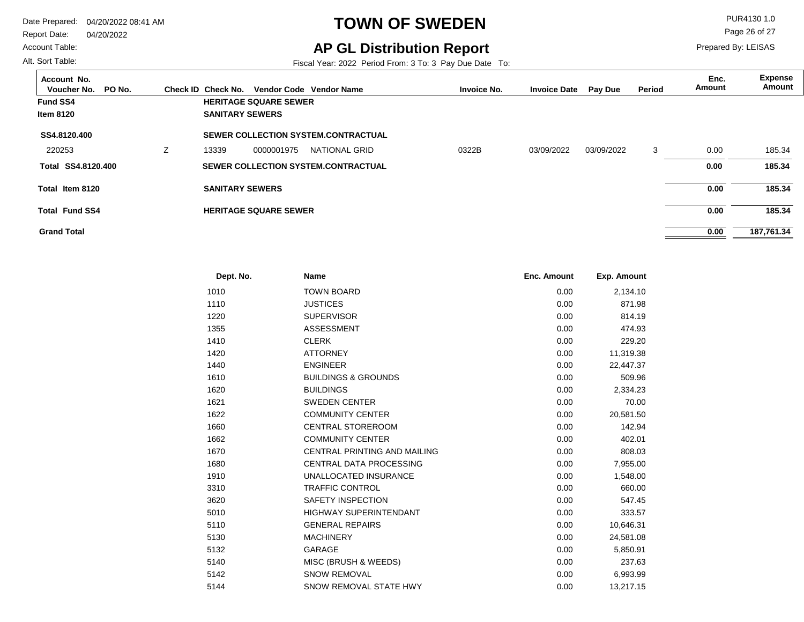Report Date: 04/20/2022

#### Account Table:

Alt. Sort Table:

# **TOWN OF SWEDEN** PUR4130 1.0

## **AP GL Distribution Report**

Fiscal Year: 2022 Period From: 3 To: 3 Pay Due Date To:

Page 26 of 27

| Account No.<br>Voucher No.<br>PO No. |   | Check ID Check No.     |                              | Vendor Code Vendor Name                    | <b>Invoice No.</b> | <b>Invoice Date</b> | <b>Pay Due</b> | Period | Enc.<br>Amount | <b>Expense</b><br>Amount |
|--------------------------------------|---|------------------------|------------------------------|--------------------------------------------|--------------------|---------------------|----------------|--------|----------------|--------------------------|
| <b>Fund SS4</b>                      |   |                        | <b>HERITAGE SQUARE SEWER</b> |                                            |                    |                     |                |        |                |                          |
| <b>Item 8120</b>                     |   | <b>SANITARY SEWERS</b> |                              |                                            |                    |                     |                |        |                |                          |
| SS4.8120.400                         |   |                        |                              | <b>SEWER COLLECTION SYSTEM.CONTRACTUAL</b> |                    |                     |                |        |                |                          |
| 220253                               | Ζ | 13339                  | 0000001975                   | NATIONAL GRID                              | 0322B              | 03/09/2022          | 03/09/2022     | 3      | 0.00           | 185.34                   |
| Total SS4.8120.400                   |   |                        |                              | <b>SEWER COLLECTION SYSTEM.CONTRACTUAL</b> |                    |                     |                |        | 0.00           | 185.34                   |
| Total Item 8120                      |   | <b>SANITARY SEWERS</b> |                              |                                            |                    |                     |                |        | 0.00           | 185.34                   |
| <b>Total Fund SS4</b>                |   |                        | <b>HERITAGE SQUARE SEWER</b> |                                            |                    |                     |                |        | 0.00           | 185.34                   |
| <b>Grand Total</b>                   |   |                        |                              |                                            |                    |                     |                |        | 0.00           | 187,761.34               |

| Dept. No. | <b>Name</b>                    | Enc. Amount | Exp. Amount |  |
|-----------|--------------------------------|-------------|-------------|--|
| 1010      | <b>TOWN BOARD</b>              | 0.00        | 2,134.10    |  |
| 1110      | <b>JUSTICES</b>                | 0.00        | 871.98      |  |
| 1220      | <b>SUPERVISOR</b>              | 0.00        | 814.19      |  |
| 1355      | <b>ASSESSMENT</b>              | 0.00        | 474.93      |  |
| 1410      | <b>CLERK</b>                   | 0.00        | 229.20      |  |
| 1420      | <b>ATTORNEY</b>                | 0.00        | 11,319.38   |  |
| 1440      | <b>ENGINEER</b>                | 0.00        | 22,447.37   |  |
| 1610      | <b>BUILDINGS &amp; GROUNDS</b> | 0.00        | 509.96      |  |
| 1620      | <b>BUILDINGS</b>               | 0.00        | 2,334.23    |  |
| 1621      | <b>SWEDEN CENTER</b>           | 0.00        | 70.00       |  |
| 1622      | <b>COMMUNITY CENTER</b>        | 0.00        | 20,581.50   |  |
| 1660      | <b>CENTRAL STOREROOM</b>       | 0.00        | 142.94      |  |
| 1662      | <b>COMMUNITY CENTER</b>        | 0.00        | 402.01      |  |
| 1670      | CENTRAL PRINTING AND MAILING   | 0.00        | 808.03      |  |
| 1680      | <b>CENTRAL DATA PROCESSING</b> | 0.00        | 7,955.00    |  |
| 1910      | UNALLOCATED INSURANCE          | 0.00        | 1,548.00    |  |
| 3310      | <b>TRAFFIC CONTROL</b>         | 0.00        | 660.00      |  |
| 3620      | SAFETY INSPECTION              | 0.00        | 547.45      |  |
| 5010      | <b>HIGHWAY SUPERINTENDANT</b>  | 0.00        | 333.57      |  |
| 5110      | <b>GENERAL REPAIRS</b>         | 0.00        | 10,646.31   |  |
| 5130      | <b>MACHINERY</b>               | 0.00        | 24,581.08   |  |
| 5132      | <b>GARAGE</b>                  | 0.00        | 5,850.91    |  |
| 5140      | MISC (BRUSH & WEEDS)           | 0.00        | 237.63      |  |
| 5142      | <b>SNOW REMOVAL</b>            | 0.00        | 6,993.99    |  |
| 5144      | SNOW REMOVAL STATE HWY         | 0.00        | 13.217.15   |  |